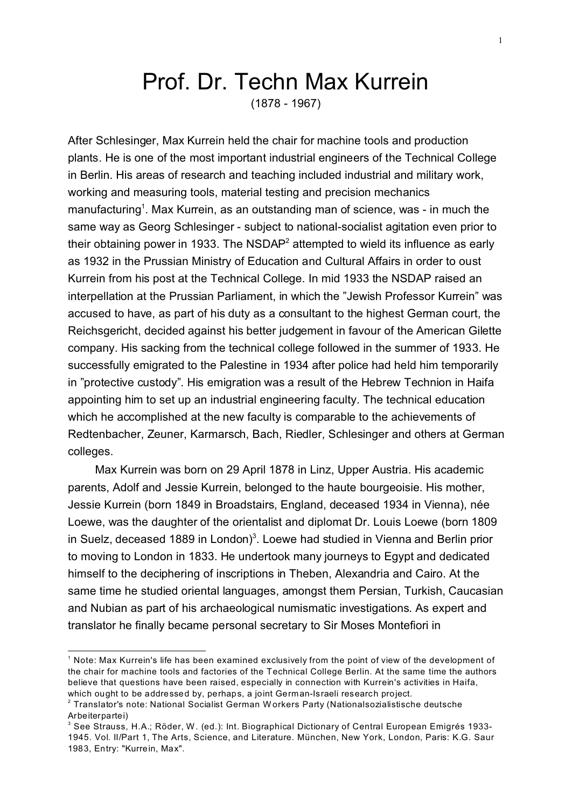## Prof. Dr. Techn Max Kurrein (1878 - 1967)

After Schlesinger, Max Kurrein held the chair for machine tools and production plants. He is one of the most important industrial engineers of the Technical College in Berlin. His areas of research and teaching included industrial and military work, working and measuring tools, material testing and precision mechanics manufacturing<sup>1</sup>. Max Kurrein, as an outstanding man of science, was - in much the same way as Georg Schlesinger - subject to national-socialist agitation even prior to their obtaining power in 1933. The NSDAP<sup>2</sup> attempted to wield its influence as early as 1932 in the Prussian Ministry of Education and Cultural Affairs in order to oust Kurrein from his post at the Technical College. In mid 1933 the NSDAP raised an interpellation at the Prussian Parliament, in which the "Jewish Professor Kurrein" was accused to have, as part of his duty as a consultant to the highest German court, the Reichsgericht, decided against his better judgement in favour of the American Gilette company. His sacking from the technical college followed in the summer of 1933. He successfully emigrated to the Palestine in 1934 after police had held him temporarily in "protective custody". His emigration was a result of the Hebrew Technion in Haifa appointing him to set up an industrial engineering faculty. The technical education which he accomplished at the new faculty is comparable to the achievements of Redtenbacher, Zeuner, Karmarsch, Bach, Riedler, Schlesinger and others at German colleges.

Max Kurrein was born on 29 April 1878 in Linz, Upper Austria. His academic parents, Adolf and Jessie Kurrein, belonged to the haute bourgeoisie. His mother, Jessie Kurrein (born 1849 in Broadstairs, England, deceased 1934 in Vienna), née Loewe, was the daughter of the orientalist and diplomat Dr. Louis Loewe (born 1809 in Suelz, deceased 1889 in London)<sup>3</sup>. Loewe had studied in Vienna and Berlin prior to moving to London in 1833. He undertook many journeys to Egypt and dedicated himself to the deciphering of inscriptions in Theben, Alexandria and Cairo. At the same time he studied oriental languages, amongst them Persian, Turkish, Caucasian and Nubian as part of his archaeological numismatic investigations. As expert and translator he finally became personal secretary to Sir Moses Montefiori in

 $^{\rm 1}$  Note: Max Kurrein's life has been examined exclusively from the point of view of the development of the chair for machine tools and factories of the Technical College Berlin. At the same time the authors believe that questions have been raised, especially in connection with Kurrein's activities in Haifa, which ought to be addressed by, perhaps, a joint German-Israeli research project.

 $^{\rm 2}$  Translator's note: National Socialist German Workers Party (Nationalsozialistische deutsche Arbeiterpartei)

 $^{\rm 3}$  See Strauss, H.A.; Röder, W. (ed.): Int. Biographical Dictionary of Central European Emigrés 1933-1945. Vol. II/Part 1, The Arts, Science, and Literature. München, New York, London, Paris: K.G. Saur 1983, Entry: "Kurrein, Max".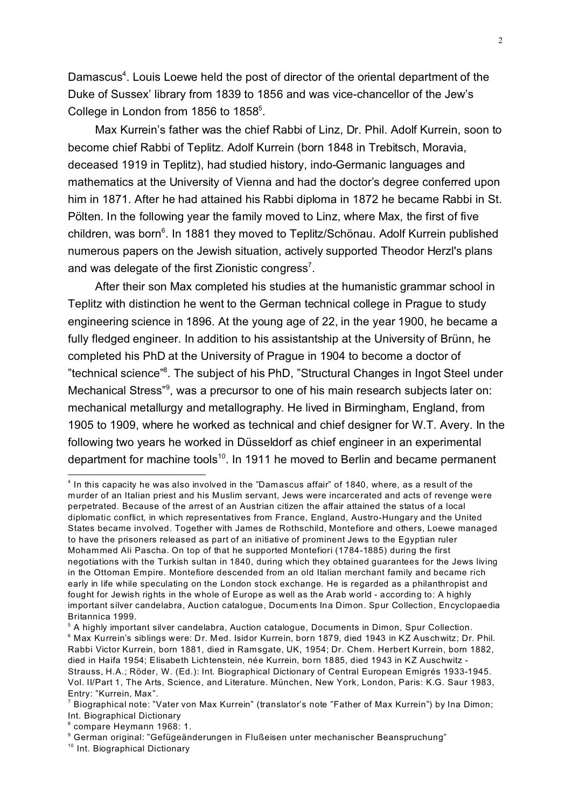Damascus<sup>4</sup>. Louis Loewe held the post of director of the oriental department of the Duke of Sussex' library from 1839 to 1856 and was vice-chancellor of the Jew's College in London from 1856 to 1858<sup>5</sup>.

Max Kurrein's father was the chief Rabbi of Linz, Dr. Phil. Adolf Kurrein, soon to become chief Rabbi of Teplitz. Adolf Kurrein (born 1848 in Trebitsch, Moravia, deceased 1919 in Teplitz), had studied history, indo-Germanic languages and mathematics at the University of Vienna and had the doctor's degree conferred upon him in 1871. After he had attained his Rabbi diploma in 1872 he became Rabbi in St. Pölten. In the following year the family moved to Linz, where Max, the first of five children, was born<sup>6</sup>. In 1881 they moved to Teplitz/Schönau. Adolf Kurrein published numerous papers on the Jewish situation, actively supported Theodor Herzl's plans and was delegate of the first Zionistic congress<sup>7</sup>.

After their son Max completed his studies at the humanistic grammar school in Teplitz with distinction he went to the German technical college in Prague to study engineering science in 1896. At the young age of 22, in the year 1900, he became a fully fledged engineer. In addition to his assistantship at the University of Brünn, he completed his PhD at the University of Prague in 1904 to become a doctor of "technical science"<sup>8</sup>. The subject of his PhD, "Structural Changes in Ingot Steel under Mechanical Stress"<sup>9</sup>, was a precursor to one of his main research subjects later on: mechanical metallurgy and metallography. He lived in Birmingham, England, from 1905 to 1909, where he worked as technical and chief designer for W.T. Avery. In the following two years he worked in Düsseldorf as chief engineer in an experimental department for machine tools<sup>10</sup>. In 1911 he moved to Berlin and became permanent

<sup>4</sup> In this capacity he was also involved in the "Damascus affair" of 1840, where, as a result of the murder of an Italian priest and his Muslim servant, Jews were incarcerated and acts of revenge were perpetrated. Because of the arrest of an Austrian citizen the affair attained the status of a local diplomatic conflict, in which representatives from France, England, Austro-Hungary and the United States became involved. Together with James de Rothschild, Montefiore and others, Loewe managed to have the prisoners released as part of an initiative of prominent Jews to the Egyptian ruler Mohammed Ali Pascha. On top of that he supported Montefiori (1784-1885) during the first negotiations with the Turkish sultan in 1840, during which they obtained guarantees for the Jews living in the Ottoman Empire. Montefiore descended from an old Italian merchant family and became rich early in life while speculating on the London stock exchange. He is regarded as a philanthropist and fought for Jewish rights in the whole of Europe as well as the Arab world - according to: A highly important silver candelabra, Auction catalogue, Docum ents Ina Dimon. Spur Collection, Encyclopaedia Britannica 1999.

 $^{\rm 5}$  A highly important silver candelabra, Auction catalogue, Documents in Dimon, Spur Collection.  $^{\rm 6}$  Max Kurrein's siblings were: Dr. Med. Isidor Kurrein, born 1879, died 1943 in KZ Auschwitz; Dr. Phil. Rabbi Victor Kurrein, born 1881, died in Ramsgate, UK, 1954; Dr. Chem. Herbert Kurrein, born 1882, died in Haifa 1954; Elisabeth Lichtenstein, née Kurrein, born 1885, died 1943 in KZ Auschwitz - Strauss, H.A.; Röder, W. (Ed.): Int. Biographical Dictionary of Central European Emigrés 1933-1945. Vol. II/Part 1, The Arts, Science, and Literature. München, New York, London, Paris: K.G. Saur 1983, Entry: "Kurrein, Max".

 $^7$  Biographical note: "Vater von Max Kurrein" (translator's note "Father of Max Kurrein") by Ina Dimon; Int. Biographical Dictionary

<sup>8</sup> compare Heymann 1968: 1.

 $^{\circ}$  German original: "Gefügeänderungen in Flußeisen unter mechanischer Beanspruchung"

<sup>&</sup>lt;sup>10</sup> Int. Biographical Dictionary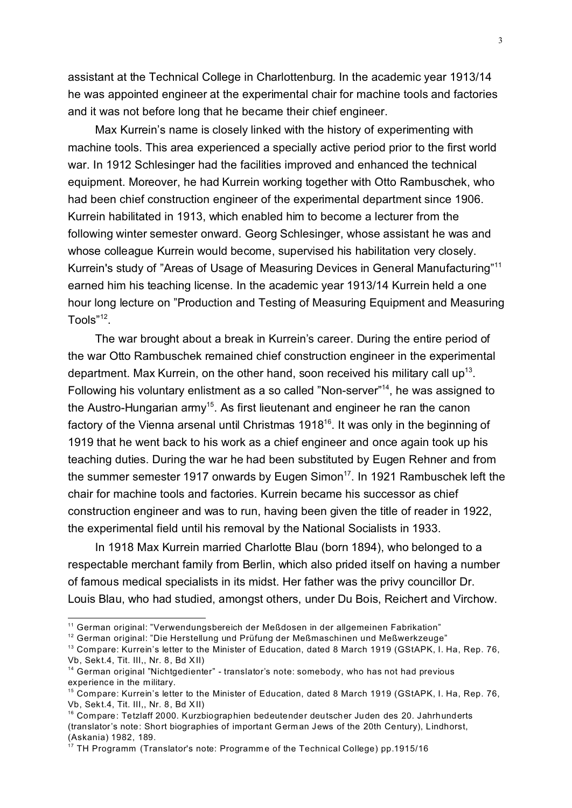assistant at the Technical College in Charlottenburg. In the academic year 1913/14 he was appointed engineer at the experimental chair for machine tools and factories and it was not before long that he became their chief engineer.

Max Kurrein's name is closely linked with the history of experimenting with machine tools. This area experienced a specially active period prior to the first world war. In 1912 Schlesinger had the facilities improved and enhanced the technical equipment. Moreover, he had Kurrein working together with Otto Rambuschek, who had been chief construction engineer of the experimental department since 1906. Kurrein habilitated in 1913, which enabled him to become a lecturer from the following winter semester onward. Georg Schlesinger, whose assistant he was and whose colleague Kurrein would become, supervised his habilitation very closely. Kurrein's study of "Areas of Usage of Measuring Devices in General Manufacturing"<sup>11</sup> earned him his teaching license. In the academic year 1913/14 Kurrein held a one hour long lecture on "Production and Testing of Measuring Equipment and Measuring Tools"<sup>12</sup>.

The war brought about a break in Kurrein's career. During the entire period of the war Otto Rambuschek remained chief construction engineer in the experimental department. Max Kurrein, on the other hand, soon received his military call up<sup>13</sup>. Following his voluntary enlistment as a so called "Non-server"<sup>14</sup>, he was assigned to the Austro-Hungarian army<sup>15</sup>. As first lieutenant and engineer he ran the canon factory of the Vienna arsenal until Christmas 1918<sup>16</sup>. It was only in the beginning of 1919 that he went back to his work as a chief engineer and once again took up his teaching duties. During the war he had been substituted by Eugen Rehner and from the summer semester 1917 onwards by Eugen Simon<sup>17</sup>. In 1921 Rambuschek left the chair for machine tools and factories. Kurrein became his successor as chief construction engineer and was to run, having been given the title of reader in 1922, the experimental field until his removal by the National Socialists in 1933.

In 1918 Max Kurrein married Charlotte Blau (born 1894), who belonged to a respectable merchant family from Berlin, which also prided itself on having a number of famous medical specialists in its midst. Her father was the privy councillor Dr. Louis Blau, who had studied, amongst others, under Du Bois, Reichert and Virchow.

<sup>11</sup> German original: "Verwendungsbereich der Meßdosen in der allgemeinen Fabrikation"

<sup>&</sup>lt;sup>12</sup> German original: "Die Herstellung und Prüfung der Meßmaschinen und Meßwerkzeuge"

<sup>&</sup>lt;sup>13</sup> Compare: Kurrein's letter to the Minister of Education, dated 8 March 1919 (GStAPK, I. Ha, Rep. 76, Vb, Sekt.4, Tit. III,, Nr. 8, Bd XII)

<sup>&</sup>lt;sup>14</sup> German original "Nichtgedienter" - translator's note: somebody, who has not had previous experience in the military.

<sup>15</sup> Compare: Kurrein's letter to the Minister of Education, dated 8 March 1919 (GStAPK, I. Ha, Rep. 76, Vb, Sekt.4, Tit. III,, Nr. 8, Bd XII)

<sup>&</sup>lt;sup>16</sup> Compare: Tetzlaff 2000. Kurzbiographien bedeutender deutscher Juden des 20. Jahrhunderts (translator's note: Short biographies of important German Jews of the 20th Century), Lindhorst, (Askania) 1982, 189.

<sup>&</sup>lt;sup>17</sup> TH Programm (Translator's note: Programme of the Technical College) pp.1915/16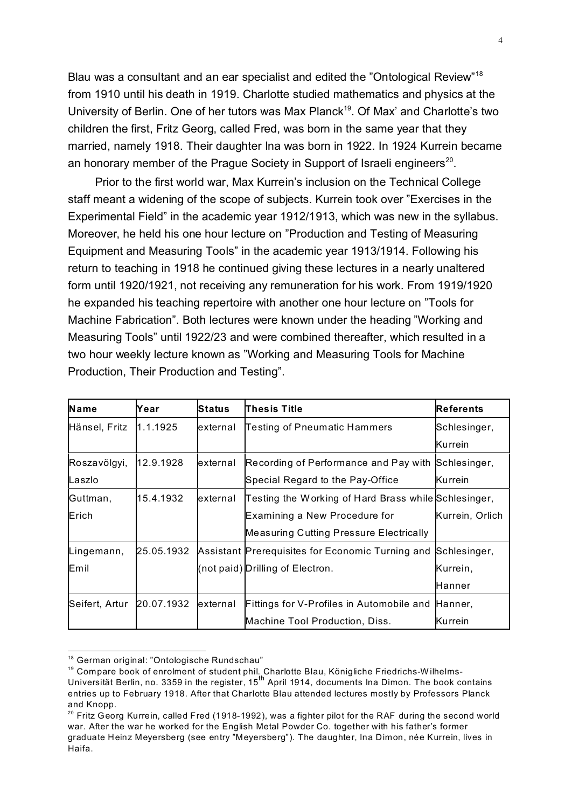Blau was a consultant and an ear specialist and edited the "Ontological Review"<sup>18</sup> from 1910 until his death in 1919. Charlotte studied mathematics and physics at the University of Berlin. One of her tutors was Max Planck<sup>19</sup>. Of Max' and Charlotte's two children the first, Fritz Georg, called Fred, was born in the same year that they married, namely 1918. Their daughter Ina was born in 1922. In 1924 Kurrein became an honorary member of the Prague Society in Support of Israeli engineers<sup>20</sup>.

Prior to the first world war, Max Kurrein's inclusion on the Technical College staff meant a widening of the scope of subjects. Kurrein took over "Exercises in the Experimental Field" in the academic year 1912/1913, which was new in the syllabus. Moreover, he held his one hour lecture on "Production and Testing of Measuring Equipment and Measuring Tools" in the academic year 1913/1914. Following his return to teaching in 1918 he continued giving these lectures in a nearly unaltered form until 1920/1921, not receiving any remuneration for his work. From 1919/1920 he expanded his teaching repertoire with another one hour lecture on "Tools for Machine Fabrication". Both lectures were known under the heading "Working and Measuring Tools" until 1922/23 and were combined thereafter, which resulted in a two hour weekly lecture known as "Working and Measuring Tools for Machine Production, Their Production and Testing".

| <b>Name</b>    | Year       | <b>Status</b> | Thesis Title                                         | <b>Referents</b> |
|----------------|------------|---------------|------------------------------------------------------|------------------|
| Hänsel, Fritz  | 1.1.1925   | external      | <b>Testing of Pneumatic Hammers</b>                  | Schlesinger,     |
|                |            |               |                                                      | Kurrein          |
| Roszavölgyi,   | 12.9.1928  | external      | Recording of Performance and Pay with Schlesinger,   |                  |
| Laszlo         |            |               | Special Regard to the Pay-Office                     | <b>Kurrein</b>   |
| Guttman,       | 15.4.1932  | external      | Testing the Working of Hard Brass while Schlesinger, |                  |
| Erich          |            |               | Examining a New Procedure for                        | Kurrein, Orlich  |
|                |            |               | Measuring Cutting Pressure Electrically              |                  |
| Lingemann,     | 25.05.1932 |               | Assistant Prerequisites for Economic Turning and     | Schlesinger,     |
| lEmil          |            |               | (not paid) Drilling of Electron.                     | Kurrein,         |
|                |            |               |                                                      | Hanner           |
| Seifert, Artur | 20.07.1932 | external      | Fittings for V-Profiles in Automobile and            | Hanner,          |
|                |            |               | Machine Tool Production, Diss.                       | Kurrein          |

<sup>&</sup>lt;sup>18</sup> German original: "Ontologische Rundschau"

<sup>19</sup> Compare book of enrolment of student phil. Charlotte Blau, Königliche Friedrichs-W ilhelms-Universität Berlin, no. 3359 in the register, 15th April 1914, documents Ina Dimon. The book contains entries up to February 1918. After that Charlotte Blau attended lectures mostly by Professors Planck and Knopp.

<sup>&</sup>lt;sup>20</sup> Fritz Georg Kurrein, called Fred (1918-1992), was a fighter pilot for the RAF during the second world war. After the war he worked for the English Metal Powder Co. together with his father's former graduate Heinz Meyersberg (see entry "Meyersberg"). The daughter, Ina Dimon, née Kurrein, lives in Haifa.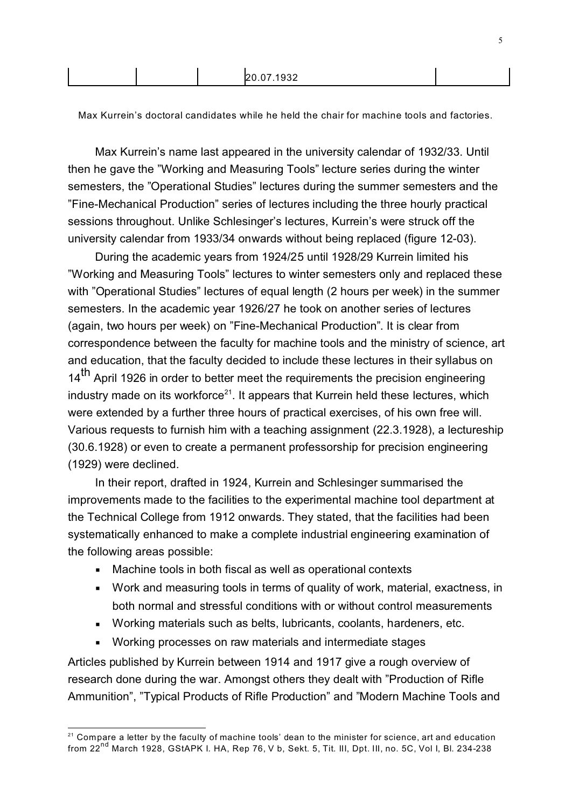Max Kurrein's doctoral candidates while he held the chair for machine tools and factories.

Max Kurrein's name last appeared in the university calendar of 1932/33. Until then he gave the "Working and Measuring Tools" lecture series during the winter semesters, the "Operational Studies" lectures during the summer semesters and the "Fine-Mechanical Production" series of lectures including the three hourly practical sessions throughout. Unlike Schlesinger's lectures, Kurrein's were struck off the university calendar from 1933/34 onwards without being replaced (figure 12-03).

During the academic years from 1924/25 until 1928/29 Kurrein limited his "Working and Measuring Tools" lectures to winter semesters only and replaced these with "Operational Studies" lectures of equal length (2 hours per week) in the summer semesters. In the academic year 1926/27 he took on another series of lectures (again, two hours per week) on "Fine-Mechanical Production". It is clear from correspondence between the faculty for machine tools and the ministry of science, art and education, that the faculty decided to include these lectures in their syllabus on 14<sup>th</sup> April 1926 in order to better meet the requirements the precision engineering industry made on its workforce<sup>21</sup>. It appears that Kurrein held these lectures, which were extended by a further three hours of practical exercises, of his own free will. Various requests to furnish him with a teaching assignment (22.3.1928), a lectureship (30.6.1928) or even to create a permanent professorship for precision engineering (1929) were declined.

In their report, drafted in 1924, Kurrein and Schlesinger summarised the improvements made to the facilities to the experimental machine tool department at the Technical College from 1912 onwards. They stated, that the facilities had been systematically enhanced to make a complete industrial engineering examination of the following areas possible:

- Machine tools in both fiscal as well as operational contexts
- § Work and measuring tools in terms of quality of work, material, exactness, in both normal and stressful conditions with or without control measurements
- § Working materials such as belts, lubricants, coolants, hardeners, etc.
- Working processes on raw materials and intermediate stages

Articles published by Kurrein between 1914 and 1917 give a rough overview of research done during the war. Amongst others they dealt with "Production of Rifle Ammunition", "Typical Products of Rifle Production" and "Modern Machine Tools and

 $21$  Compare a letter by the faculty of machine tools' dean to the minister for science, art and education from 22nd March 1928, GStAPK I. HA, Rep 76, V b, Sekt. 5, Tit. III, Dpt. III, no. 5C, Vol I, Bl. 234-238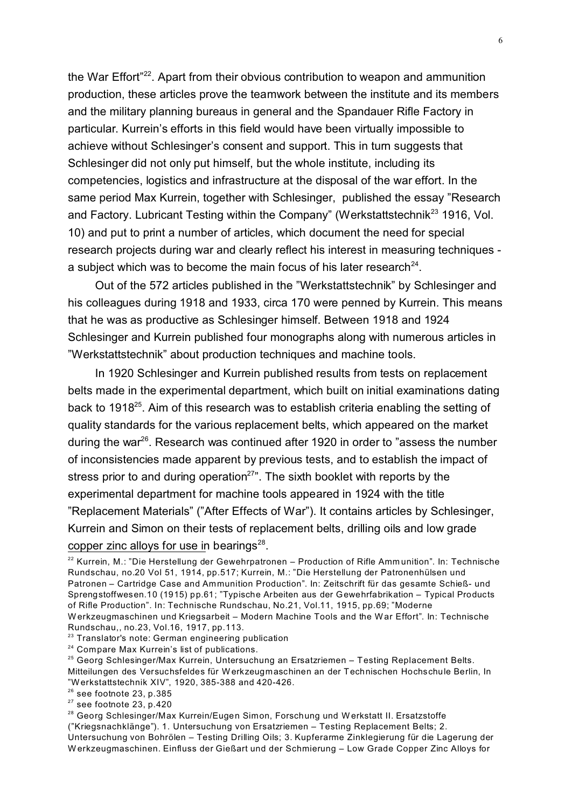the War Effort"<sup>22</sup>. Apart from their obvious contribution to weapon and ammunition production, these articles prove the teamwork between the institute and its members and the military planning bureaus in general and the Spandauer Rifle Factory in particular. Kurrein's efforts in this field would have been virtually impossible to achieve without Schlesinger's consent and support. This in turn suggests that Schlesinger did not only put himself, but the whole institute, including its competencies, logistics and infrastructure at the disposal of the war effort. In the same period Max Kurrein, together with Schlesinger, published the essay "Research and Factory. Lubricant Testing within the Company" (Werkstattstechnik<sup>23</sup> 1916, Vol. 10) and put to print a number of articles, which document the need for special research projects during war and clearly reflect his interest in measuring techniques a subject which was to become the main focus of his later research $^{24}$ .

Out of the 572 articles published in the "Werkstattstechnik" by Schlesinger and his colleagues during 1918 and 1933, circa 170 were penned by Kurrein. This means that he was as productive as Schlesinger himself. Between 1918 and 1924 Schlesinger and Kurrein published four monographs along with numerous articles in "Werkstattstechnik" about production techniques and machine tools.

In 1920 Schlesinger and Kurrein published results from tests on replacement belts made in the experimental department, which built on initial examinations dating back to 1918<sup>25</sup>. Aim of this research was to establish criteria enabling the setting of quality standards for the various replacement belts, which appeared on the market during the war<sup>26</sup>. Research was continued after 1920 in order to "assess the number of inconsistencies made apparent by previous tests, and to establish the impact of stress prior to and during operation<sup>27</sup>". The sixth booklet with reports by the experimental department for machine tools appeared in 1924 with the title "Replacement Materials" ("After Effects of War"). It contains articles by Schlesinger, Kurrein and Simon on their tests of replacement belts, drilling oils and low grade copper zinc alloys for use in bearings<sup>28</sup>.

- <sup>23</sup> Translator's note: German engineering publication
- <sup>24</sup> Compare Max Kurrein's list of publications.

- $26$  see footnote 23, p.385
- $27$  see footnote 23, p.420

<sup>28</sup> Georg Schlesinger/Max Kurrein/Eugen Simon, Forschung und Werkstatt II. Ersatzstoffe ("Kriegsnachklänge"). 1. Untersuchung von Ersatzriemen – Testing Replacement Belts; 2. Untersuchung von Bohrölen – Testing Drilling Oils; 3. Kupferarme Zinklegierung für die Lagerung der W erkzeugmaschinen. Einfluss der Gießart und der Schmierung – Low Grade Copper Zinc Alloys for

<sup>&</sup>lt;sup>22</sup> Kurrein, M.: "Die Herstellung der Gewehrpatronen - Production of Rifle Amm unition". In: Technische Rundschau, no.20 Vol 51, 1914, pp.517; Kurrein, M.: "Die Herstellung der Patronenhülsen und Patronen – Cartridge Case and Ammunition Production". In: Zeitschrift für das gesamte Schieß- und Sprengstoffwesen.10 (1915) pp.61; "Typische Arbeiten aus der Gewehrfabrikation – Typical Products of Rifle Production". In: Technische Rundschau, No.21, Vol.11, 1915, pp.69; "Moderne W erkzeugmaschinen und Kriegsarbeit – Modern Machine Tools and the War Effort". In: Technische Rundschau,, no.23, Vol.16, 1917, pp.113.

 $25$  Georg Schlesinger/Max Kurrein, Untersuchung an Ersatzriemen – Testing Replacement Belts. Mitteilungen des Versuchsfeldes für W erkzeugmaschinen an der Technischen Hochschule Berlin, In "Werkstattstechnik XIV", 1920, 385-388 and 420-426.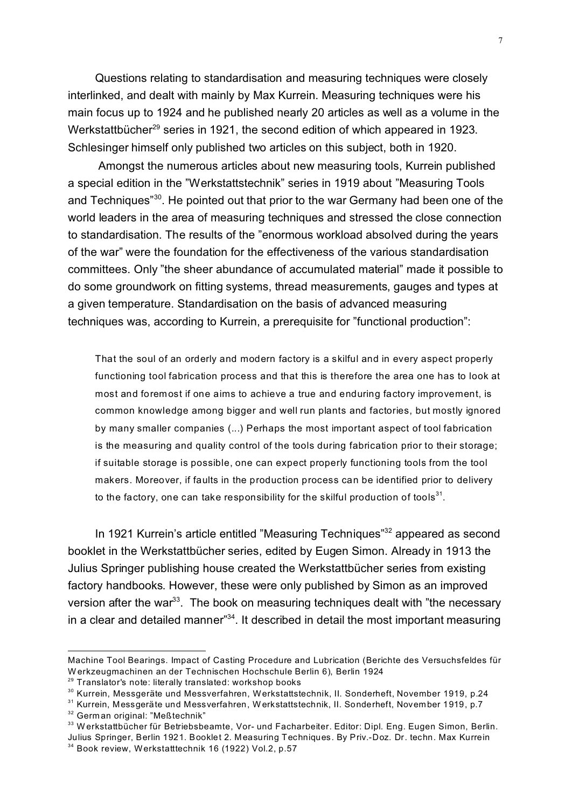Questions relating to standardisation and measuring techniques were closely interlinked, and dealt with mainly by Max Kurrein. Measuring techniques were his main focus up to 1924 and he published nearly 20 articles as well as a volume in the Werkstattbücher<sup>29</sup> series in 1921, the second edition of which appeared in 1923. Schlesinger himself only published two articles on this subject, both in 1920.

 Amongst the numerous articles about new measuring tools, Kurrein published a special edition in the "Werkstattstechnik" series in 1919 about "Measuring Tools and Techniques"<sup>30</sup>. He pointed out that prior to the war Germany had been one of the world leaders in the area of measuring techniques and stressed the close connection to standardisation. The results of the "enormous workload absolved during the years of the war" were the foundation for the effectiveness of the various standardisation committees. Only "the sheer abundance of accumulated material" made it possible to do some groundwork on fitting systems, thread measurements, gauges and types at a given temperature. Standardisation on the basis of advanced measuring techniques was, according to Kurrein, a prerequisite for "functional production":

That the soul of an orderly and modern factory is a skilful and in every aspect properly functioning tool fabrication process and that this is therefore the area one has to look at most and foremost if one aims to achieve a true and enduring factory improvement, is common knowledge among bigger and well run plants and factories, but mostly ignored by many smaller companies (...) Perhaps the most important aspect of tool fabrication is the measuring and quality control of the tools during fabrication prior to their storage; if suitable storage is possible, one can expect properly functioning tools from the tool makers. Moreover, if faults in the production process can be identified prior to delivery to the factory, one can take responsibility for the skilful production of tools $^{\rm 31}.$ 

In 1921 Kurrein's article entitled "Measuring Techniques"<sup>32</sup> appeared as second booklet in the Werkstattbücher series, edited by Eugen Simon. Already in 1913 the Julius Springer publishing house created the Werkstattbücher series from existing factory handbooks. However, these were only published by Simon as an improved version after the war<sup>33</sup>. The book on measuring techniques dealt with "the necessary" in a clear and detailed manner<sup>"34</sup>. It described in detail the most important measuring

Machine Tool Bearings. Impact of Casting Procedure and Lubrication (Berichte des Versuchsfeldes für W erkzeugmachinen an der Technischen Hochschule Berlin 6), Berlin 1924

<sup>29</sup> Translator's note: literally translated: workshop books

<sup>&</sup>lt;sup>30</sup> Kurrein, Messgeräte und Messverfahren, Werkstattstechnik, II. Sonderheft, November 1919, p.24

<sup>31</sup> Kurrein, Messgeräte und Messverfahren, Werkstattstechnik, II. Sonderheft, November 1919, p.7

<sup>32</sup> Germ an original: "Meßtechnik"

<sup>&</sup>lt;sup>33</sup> Werkstattbücher für Betriebsbeamte, Vor- und Facharbeiter. Editor: Dipl. Eng. Eugen Simon, Berlin. Julius Springer, Berlin 1921. Booklet 2. Measuring Techniques. By Priv.-Doz. Dr. techn. Max Kurrein <sup>34</sup> Book review, Werkstatttechnik 16 (1922) Vol.2, p.57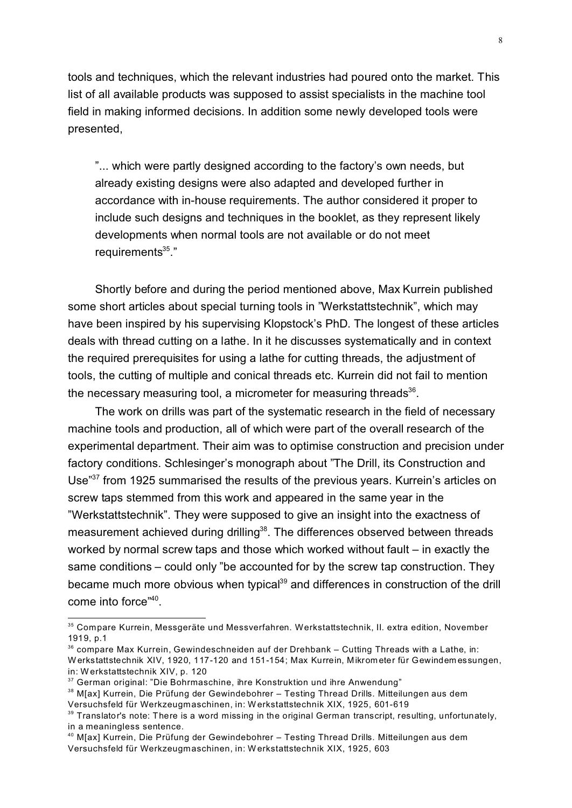tools and techniques, which the relevant industries had poured onto the market. This list of all available products was supposed to assist specialists in the machine tool field in making informed decisions. In addition some newly developed tools were presented,

"... which were partly designed according to the factory's own needs, but already existing designs were also adapted and developed further in accordance with in-house requirements. The author considered it proper to include such designs and techniques in the booklet, as they represent likely developments when normal tools are not available or do not meet requirements<sup>35</sup>."

Shortly before and during the period mentioned above, Max Kurrein published some short articles about special turning tools in "Werkstattstechnik", which may have been inspired by his supervising Klopstock's PhD. The longest of these articles deals with thread cutting on a lathe. In it he discusses systematically and in context the required prerequisites for using a lathe for cutting threads, the adjustment of tools, the cutting of multiple and conical threads etc. Kurrein did not fail to mention the necessary measuring tool, a micrometer for measuring threads $^{36}$ .

The work on drills was part of the systematic research in the field of necessary machine tools and production, all of which were part of the overall research of the experimental department. Their aim was to optimise construction and precision under factory conditions. Schlesinger's monograph about "The Drill, its Construction and Use"<sup>37</sup> from 1925 summarised the results of the previous years. Kurrein's articles on screw taps stemmed from this work and appeared in the same year in the "Werkstattstechnik". They were supposed to give an insight into the exactness of measurement achieved during drilling<sup>38</sup>. The differences observed between threads worked by normal screw taps and those which worked without fault – in exactly the same conditions – could only "be accounted for by the screw tap construction. They became much more obvious when typical<sup>39</sup> and differences in construction of the drill come into force"<sup>40</sup>.

<sup>35</sup> Compare Kurrein, Messgeräte und Messverfahren. Werkstattstechnik, II. extra edition, November 1919, p.1

 $36$  compare Max Kurrein, Gewindeschneiden auf der Drehbank – Cutting Threads with a Lathe, in: W erkstattstechnik XIV, 1920, 117-120 and 151-154; Max Kurrein, Mikrom eter für Gewindem essungen, in: W erkstattstechnik XIV, p. 120

<sup>&</sup>lt;sup>37</sup> German original: "Die Bohrmaschine, ihre Konstruktion und ihre Anwendung"

<sup>&</sup>lt;sup>38</sup> M[ax] Kurrein, Die Prüfung der Gewindebohrer – Testing Thread Drills. Mitteilungen aus dem Versuchsfeld für Werkzeugmaschinen, in: W erkstattstechnik XIX, 1925, 601-619

 $39$  Translator's note: There is a word missing in the original German transcript, resulting, unfortunately, in a meaningless sentence.

<sup>40</sup> M[ax] Kurrein, Die Prüfung der Gewindebohrer – Testing Thread Drills. Mitteilungen aus dem Versuchsfeld für Werkzeugmaschinen, in: W erkstattstechnik XIX, 1925, 603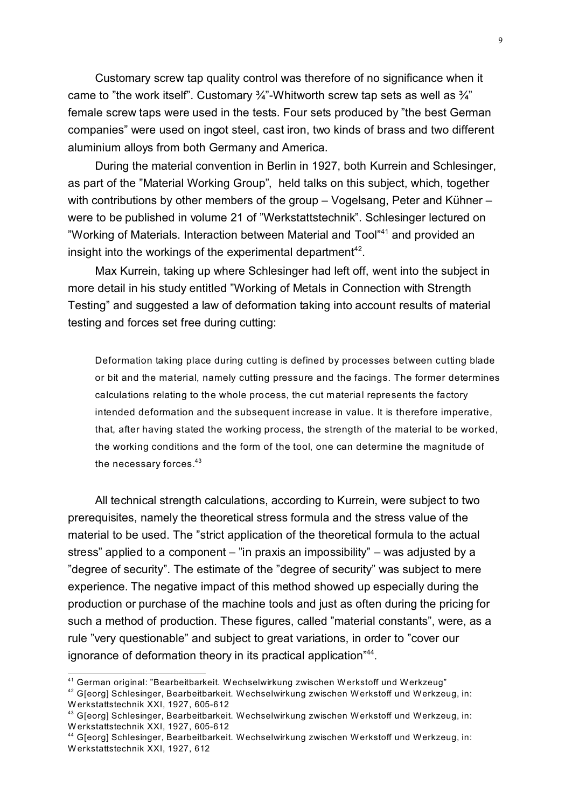Customary screw tap quality control was therefore of no significance when it came to "the work itself". Customary  $\frac{3}{4}$ "-Whitworth screw tap sets as well as  $\frac{3}{4}$ " female screw taps were used in the tests. Four sets produced by "the best German companies" were used on ingot steel, cast iron, two kinds of brass and two different aluminium alloys from both Germany and America.

During the material convention in Berlin in 1927, both Kurrein and Schlesinger, as part of the "Material Working Group", held talks on this subject, which, together with contributions by other members of the group – Vogelsang, Peter and Kühner – were to be published in volume 21 of "Werkstattstechnik". Schlesinger lectured on "Working of Materials. Interaction between Material and Tool"<sup>41</sup> and provided an insight into the workings of the experimental department<sup>42</sup>.

Max Kurrein, taking up where Schlesinger had left off, went into the subject in more detail in his study entitled "Working of Metals in Connection with Strength Testing" and suggested a law of deformation taking into account results of material testing and forces set free during cutting:

Deformation taking place during cutting is defined by processes between cutting blade or bit and the material, namely cutting pressure and the facings. The former determines calculations relating to the whole process, the cut material represents the factory intended deformation and the subsequent increase in value. It is therefore imperative, that, after having stated the working process, the strength of the material to be worked, the working conditions and the form of the tool, one can determine the magnitude of the necessary forces. $43$ 

All technical strength calculations, according to Kurrein, were subject to two prerequisites, namely the theoretical stress formula and the stress value of the material to be used. The "strict application of the theoretical formula to the actual stress" applied to a component – "in praxis an impossibility" – was adjusted by a "degree of security". The estimate of the "degree of security" was subject to mere experience. The negative impact of this method showed up especially during the production or purchase of the machine tools and just as often during the pricing for such a method of production. These figures, called "material constants", were, as a rule "very questionable" and subject to great variations, in order to "cover our ignorance of deformation theory in its practical application"<sup>44</sup>.

<sup>42</sup> G[eorg] Schlesinger, Bearbeitbarkeit. Wechselwirkung zwischen Werkstoff und Werkzeug, in: W erkstattstechnik XXI, 1927, 605-612

<sup>41</sup> German original: "Bearbeitbarkeit. Wechselwirkung zwischen Werkstoff und Werkzeug"

<sup>&</sup>lt;sup>43</sup> G[eorg] Schlesinger, Bearbeitbarkeit. Wechselwirkung zwischen Werkstoff und Werkzeug, in: W erkstattstechnik XXI, 1927, 605-612

<sup>44</sup> G[eorg] Schlesinger, Bearbeitbarkeit. Wechselwirkung zwischen Werkstoff und Werkzeug, in: W erkstattstechnik XXI, 1927, 612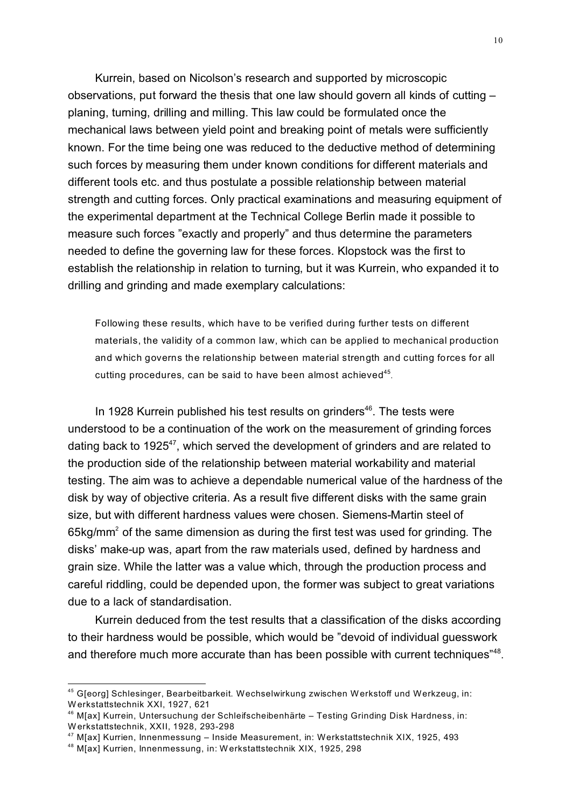Kurrein, based on Nicolson's research and supported by microscopic observations, put forward the thesis that one law should govern all kinds of cutting – planing, turning, drilling and milling. This law could be formulated once the mechanical laws between yield point and breaking point of metals were sufficiently known. For the time being one was reduced to the deductive method of determining such forces by measuring them under known conditions for different materials and different tools etc. and thus postulate a possible relationship between material strength and cutting forces. Only practical examinations and measuring equipment of the experimental department at the Technical College Berlin made it possible to measure such forces "exactly and properly" and thus determine the parameters needed to define the governing law for these forces. Klopstock was the first to establish the relationship in relation to turning, but it was Kurrein, who expanded it to drilling and grinding and made exemplary calculations:

Following these results, which have to be verified during further tests on different materials, the validity of a common law, which can be applied to mechanical production and which governs the relationship between material strength and cutting forces for all cutting procedures, can be said to have been almost achieved $^{45}$ .

In 1928 Kurrein published his test results on grinders<sup>46</sup>. The tests were understood to be a continuation of the work on the measurement of grinding forces dating back to 1925<sup>47</sup>, which served the development of grinders and are related to the production side of the relationship between material workability and material testing. The aim was to achieve a dependable numerical value of the hardness of the disk by way of objective criteria. As a result five different disks with the same grain size, but with different hardness values were chosen. Siemens-Martin steel of 65kg/mm<sup>2</sup> of the same dimension as during the first test was used for grinding. The disks' make-up was, apart from the raw materials used, defined by hardness and grain size. While the latter was a value which, through the production process and careful riddling, could be depended upon, the former was subject to great variations due to a lack of standardisation.

Kurrein deduced from the test results that a classification of the disks according to their hardness would be possible, which would be "devoid of individual guesswork and therefore much more accurate than has been possible with current techniques"<sup>48</sup>.

<sup>45</sup> G[eorg] Schlesinger, Bearbeitbarkeit. Wechselwirkung zwischen Werkstoff und Werkzeug, in: W erkstattstechnik XXI, 1927, 621

<sup>46</sup> M[ax] Kurrein, Untersuchung der Schleifscheibenhärte – Testing Grinding Disk Hardness, in: W erkstattstechnik, XXII, 1928, 293-298

<sup>47</sup> M[ax] Kurrien, Innenmessung – Inside Measurement, in: Werkstattstechnik XIX, 1925, 493

<sup>48</sup> M[ax] Kurrien, Innenmessung, in: W erkstattstechnik XIX, 1925, 298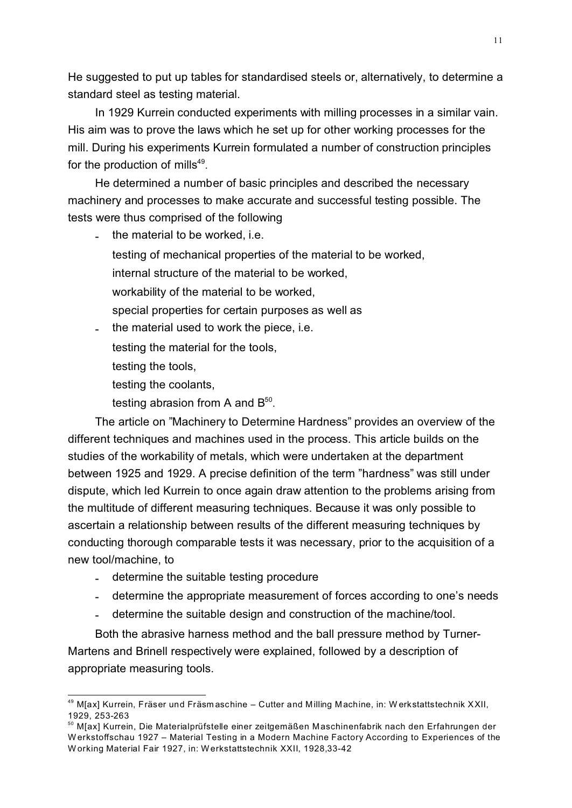He suggested to put up tables for standardised steels or, alternatively, to determine a standard steel as testing material.

In 1929 Kurrein conducted experiments with milling processes in a similar vain. His aim was to prove the laws which he set up for other working processes for the mill. During his experiments Kurrein formulated a number of construction principles for the production of mills<sup>49</sup>.

He determined a number of basic principles and described the necessary machinery and processes to make accurate and successful testing possible. The tests were thus comprised of the following

the material to be worked, i.e.

testing of mechanical properties of the material to be worked,

internal structure of the material to be worked,

workability of the material to be worked,

- special properties for certain purposes as well as
- the material used to work the piece, i.e.
	- testing the material for the tools,
	- testing the tools,
	- testing the coolants,
	- testing abrasion from A and  $\mathsf{B}^{50}.$

The article on "Machinery to Determine Hardness" provides an overview of the different techniques and machines used in the process. This article builds on the studies of the workability of metals, which were undertaken at the department between 1925 and 1929. A precise definition of the term "hardness" was still under dispute, which led Kurrein to once again draw attention to the problems arising from the multitude of different measuring techniques. Because it was only possible to ascertain a relationship between results of the different measuring techniques by conducting thorough comparable tests it was necessary, prior to the acquisition of a new tool/machine, to

- determine the suitable testing procedure
- determine the appropriate measurement of forces according to one's needs
- determine the suitable design and construction of the machine/tool.

Both the abrasive harness method and the ball pressure method by Turner-Martens and Brinell respectively were explained, followed by a description of appropriate measuring tools.

<sup>49</sup> M[ax] Kurrein, Fräser und Fräsm aschine – Cutter and Milling Machine, in: W erkstattstechnik XXII, 1929, 253-263

<sup>&</sup>lt;sup>50</sup> M[ax] Kurrein, Die Materialprüfstelle einer zeitgemäßen Maschinenfabrik nach den Erfahrungen der W erkstoffschau 1927 – Material Testing in a Modern Machine Factory According to Experiences of the W orking Material Fair 1927, in: W erkstattstechnik XXII, 1928,33-42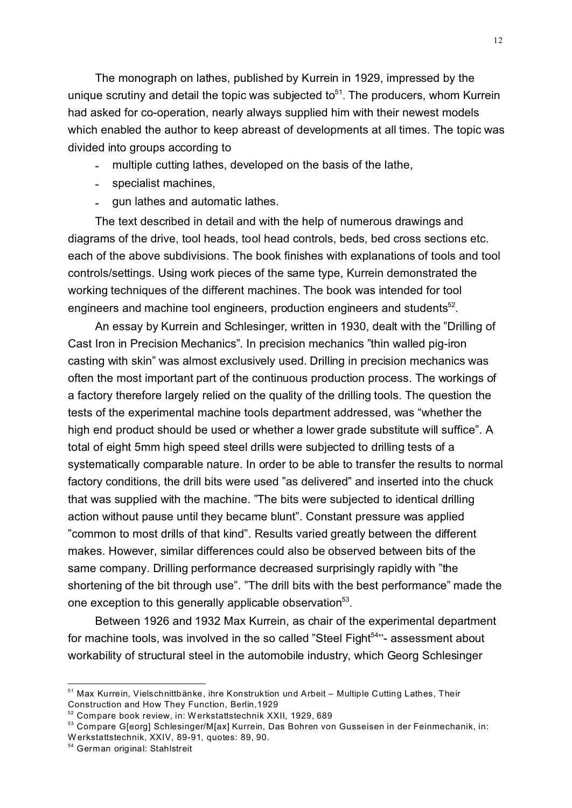The monograph on lathes, published by Kurrein in 1929, impressed by the unique scrutiny and detail the topic was subjected to $51$ . The producers, whom Kurrein had asked for co-operation, nearly always supplied him with their newest models which enabled the author to keep abreast of developments at all times. The topic was divided into groups according to

- multiple cutting lathes, developed on the basis of the lathe.
- specialist machines,
- gun lathes and automatic lathes.

The text described in detail and with the help of numerous drawings and diagrams of the drive, tool heads, tool head controls, beds, bed cross sections etc. each of the above subdivisions. The book finishes with explanations of tools and tool controls/settings. Using work pieces of the same type, Kurrein demonstrated the working techniques of the different machines. The book was intended for tool engineers and machine tool engineers, production engineers and students<sup>52</sup>.

An essay by Kurrein and Schlesinger, written in 1930, dealt with the "Drilling of Cast Iron in Precision Mechanics". In precision mechanics "thin walled pig-iron casting with skin" was almost exclusively used. Drilling in precision mechanics was often the most important part of the continuous production process. The workings of a factory therefore largely relied on the quality of the drilling tools. The question the tests of the experimental machine tools department addressed, was "whether the high end product should be used or whether a lower grade substitute will suffice". A total of eight 5mm high speed steel drills were subjected to drilling tests of a systematically comparable nature. In order to be able to transfer the results to normal factory conditions, the drill bits were used "as delivered" and inserted into the chuck that was supplied with the machine. "The bits were subjected to identical drilling action without pause until they became blunt". Constant pressure was applied "common to most drills of that kind". Results varied greatly between the different makes. However, similar differences could also be observed between bits of the same company. Drilling performance decreased surprisingly rapidly with "the shortening of the bit through use". "The drill bits with the best performance" made the one exception to this generally applicable observation<sup>53</sup>.

Between 1926 and 1932 Max Kurrein, as chair of the experimental department for machine tools, was involved in the so called "Steel Fight<sup>54</sup>"- assessment about workability of structural steel in the automobile industry, which Georg Schlesinger

<sup>&</sup>lt;sup>51</sup> Max Kurrein, Vielschnittbänke, ihre Konstruktion und Arbeit – Multiple Cutting Lathes, Their Construction and How They Function, Berlin,1929

<sup>52</sup> Compare book review, in: W erkstattstechnik XXII, 1929, 689

<sup>53</sup> Compare G[eorg] Schlesinger/M[ax] Kurrein, Das Bohren von Gusseisen in der Feinmechanik, in: W erkstattstechnik, XXIV, 89-91, quotes: 89, 90.

<sup>54</sup> German original: Stahlstreit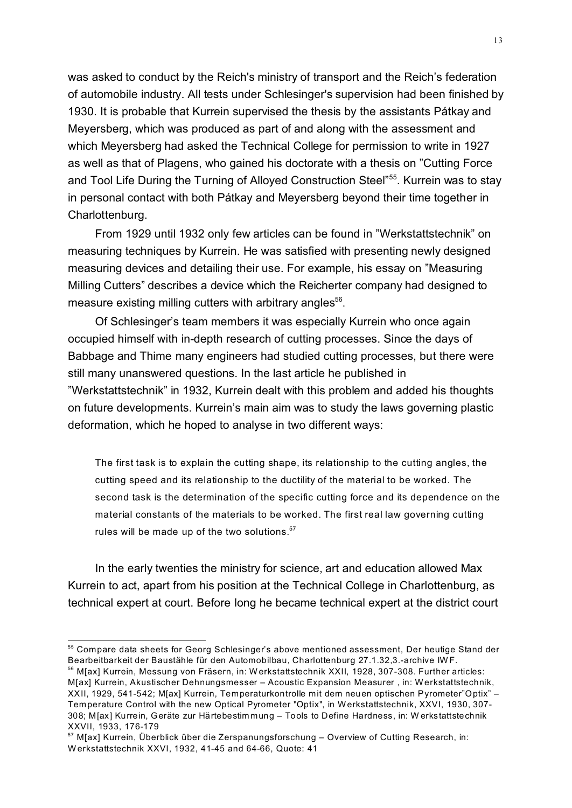was asked to conduct by the Reich's ministry of transport and the Reich's federation of automobile industry. All tests under Schlesinger's supervision had been finished by 1930. It is probable that Kurrein supervised the thesis by the assistants Pátkay and Meyersberg, which was produced as part of and along with the assessment and which Meyersberg had asked the Technical College for permission to write in 1927 as well as that of Plagens, who gained his doctorate with a thesis on "Cutting Force and Tool Life During the Turning of Alloyed Construction Steel"<sup>55</sup>. Kurrein was to stav in personal contact with both Pátkay and Meyersberg beyond their time together in Charlottenburg.

From 1929 until 1932 only few articles can be found in "Werkstattstechnik" on measuring techniques by Kurrein. He was satisfied with presenting newly designed measuring devices and detailing their use. For example, his essay on "Measuring Milling Cutters" describes a device which the Reicherter company had designed to measure existing milling cutters with arbitrary angles<sup>56</sup>.

Of Schlesinger's team members it was especially Kurrein who once again occupied himself with in-depth research of cutting processes. Since the days of Babbage and Thime many engineers had studied cutting processes, but there were still many unanswered questions. In the last article he published in "Werkstattstechnik" in 1932, Kurrein dealt with this problem and added his thoughts on future developments. Kurrein's main aim was to study the laws governing plastic deformation, which he hoped to analyse in two different ways:

The first task is to explain the cutting shape, its relationship to the cutting angles, the cutting speed and its relationship to the ductility of the material to be worked. The second task is the determination of the specific cutting force and its dependence on the material constants of the materials to be worked. The first real law governing cutting rules will be made up of the two solutions. $57$ 

In the early twenties the ministry for science, art and education allowed Max Kurrein to act, apart from his position at the Technical College in Charlottenburg, as technical expert at court. Before long he became technical expert at the district court

<sup>55</sup> Compare data sheets for Georg Schlesinger's above mentioned assessment, Der heutige Stand der Bearbeitbarkeit der Baustähle für den Automobilbau, Charlottenburg 27.1.32,3.-archive IW F.

<sup>56</sup> M[ax] Kurrein, Messung von Fräsern, in: W erkstattstechnik XXII, 1928, 307-308. Further articles: M[ax] Kurrein, Akustischer Dehnungsmesser – Acoustic Expansion Measurer , in: W erkstattstechnik, XXII, 1929, 541-542; M[ax] Kurrein, Temperaturkontrolle mit dem neuen optischen Pyrometer"Optix" – Temperature Control with the new Optical Pyrometer "Optix", in Werkstattstechnik, XXVI, 1930, 307- 308; M[ax] Kurrein, Geräte zur Härtebestim mung – Tools to Define Hardness, in: W erkstattstechnik XXVII, 1933, 176-179

 $57$  M[ax] Kurrein, Überblick über die Zerspanungsforschung – Overview of Cutting Research, in: W erkstattstechnik XXVI, 1932, 41-45 and 64-66, Quote: 41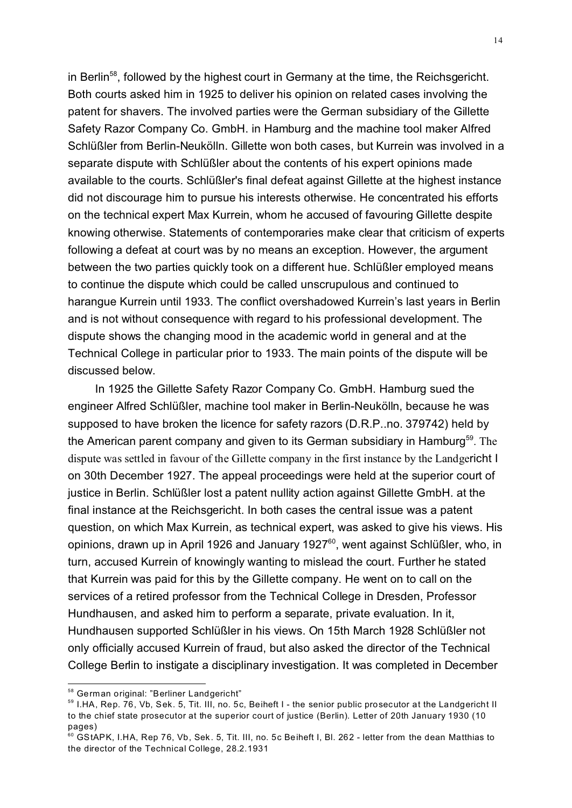in Berlin<sup>58</sup>, followed by the highest court in Germany at the time, the Reichsgericht. Both courts asked him in 1925 to deliver his opinion on related cases involving the patent for shavers. The involved parties were the German subsidiary of the Gillette Safety Razor Company Co. GmbH. in Hamburg and the machine tool maker Alfred Schlüßler from Berlin-Neukölln. Gillette won both cases, but Kurrein was involved in a separate dispute with Schlüßler about the contents of his expert opinions made available to the courts. Schlüßler's final defeat against Gillette at the highest instance did not discourage him to pursue his interests otherwise. He concentrated his efforts on the technical expert Max Kurrein, whom he accused of favouring Gillette despite knowing otherwise. Statements of contemporaries make clear that criticism of experts following a defeat at court was by no means an exception. However, the argument between the two parties quickly took on a different hue. Schlüßler employed means to continue the dispute which could be called unscrupulous and continued to harangue Kurrein until 1933. The conflict overshadowed Kurrein's last years in Berlin and is not without consequence with regard to his professional development. The dispute shows the changing mood in the academic world in general and at the Technical College in particular prior to 1933. The main points of the dispute will be discussed below.

In 1925 the Gillette Safety Razor Company Co. GmbH. Hamburg sued the engineer Alfred Schlüßler, machine tool maker in Berlin-Neukölln, because he was supposed to have broken the licence for safety razors (D.R.P..no. 379742) held by the American parent company and given to its German subsidiary in Hamburg<sup>59</sup>. The dispute was settled in favour of the Gillette company in the first instance by the Landgericht I on 30th December 1927. The appeal proceedings were held at the superior court of justice in Berlin. Schlüßler lost a patent nullity action against Gillette GmbH. at the final instance at the Reichsgericht. In both cases the central issue was a patent question, on which Max Kurrein, as technical expert, was asked to give his views. His opinions, drawn up in April 1926 and January 1927<sup>60</sup>, went against Schlüßler, who, in turn, accused Kurrein of knowingly wanting to mislead the court. Further he stated that Kurrein was paid for this by the Gillette company. He went on to call on the services of a retired professor from the Technical College in Dresden, Professor Hundhausen, and asked him to perform a separate, private evaluation. In it, Hundhausen supported Schlüßler in his views. On 15th March 1928 Schlüßler not only officially accused Kurrein of fraud, but also asked the director of the Technical College Berlin to instigate a disciplinary investigation. It was completed in December

<sup>58</sup> German original: "Berliner Landgericht"

<sup>&</sup>lt;sup>59</sup> I.HA, Rep. 76, Vb, Sek. 5, Tit. III, no. 5c, Beiheft I - the senior public prosecutor at the Landgericht II to the chief state prosecutor at the superior court of justice (Berlin). Letter of 20th January 1930 (10 pages)

<sup>60</sup> GStAPK, I.HA, Rep 76, Vb, Sek. 5, Tit. III, no. 5c Beiheft I, Bl. 262 - letter from the dean Matthias to the director of the Technical College, 28.2.1931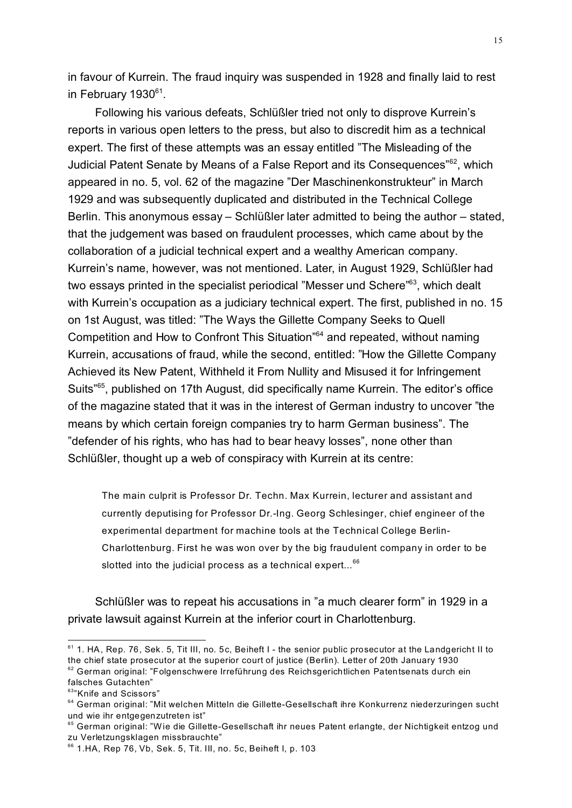in favour of Kurrein. The fraud inquiry was suspended in 1928 and finally laid to rest in February 1930<sup>61</sup>.

Following his various defeats, Schlüßler tried not only to disprove Kurrein's reports in various open letters to the press, but also to discredit him as a technical expert. The first of these attempts was an essay entitled "The Misleading of the Judicial Patent Senate by Means of a False Report and its Consequences"<sup>62</sup>, which appeared in no. 5, vol. 62 of the magazine "Der Maschinenkonstrukteur" in March 1929 and was subsequently duplicated and distributed in the Technical College Berlin. This anonymous essay – Schlüßler later admitted to being the author – stated, that the judgement was based on fraudulent processes, which came about by the collaboration of a judicial technical expert and a wealthy American company. Kurrein's name, however, was not mentioned. Later, in August 1929, Schlüßler had two essays printed in the specialist periodical "Messer und Schere"<sup>63</sup>, which dealt with Kurrein's occupation as a judiciary technical expert. The first, published in no. 15 on 1st August, was titled: "The Ways the Gillette Company Seeks to Quell Competition and How to Confront This Situation<sup>"64</sup> and repeated, without naming Kurrein, accusations of fraud, while the second, entitled: "How the Gillette Company Achieved its New Patent, Withheld it From Nullity and Misused it for Infringement Suits"<sup>65</sup>, published on 17th August, did specifically name Kurrein. The editor's office of the magazine stated that it was in the interest of German industry to uncover "the means by which certain foreign companies try to harm German business". The "defender of his rights, who has had to bear heavy losses", none other than Schlüßler, thought up a web of conspiracy with Kurrein at its centre:

The main culprit is Professor Dr. Techn. Max Kurrein, lecturer and assistant and currently deputising for Professor Dr.-Ing. Georg Schlesinger, chief engineer of the experimental department for machine tools at the Technical College Berlin-Charlottenburg. First he was won over by the big fraudulent company in order to be slotted into the judicial process as a technical expert... $66$ 

Schlüßler was to repeat his accusations in "a much clearer form" in 1929 in a private lawsuit against Kurrein at the inferior court in Charlottenburg.

<sup>61</sup> 1. HA, Rep. 76, Sek. 5, Tit III, no. 5c, Beiheft I - the senior public prosecutor at the Landgericht II to the chief state prosecutor at the superior court of justice (Berlin). Letter of 20th January 1930  $62$  German original: "Folgenschwere Irreführung des Reichsgerichtlichen Patentsenats durch ein falsches Gutachten"

<sup>&</sup>lt;sup>63</sup>"Knife and Scissors"

<sup>&</sup>lt;sup>64</sup> German original: "Mit welchen Mitteln die Gillette-Gesellschaft ihre Konkurrenz niederzuringen sucht und wie ihr entgegenzutreten ist"

<sup>65</sup> German original: "Wie die Gillette-Gesellschaft ihr neues Patent erlangte, der Nichtigkeit entzog und zu Verletzungsklagen missbrauchte"

 $66$  1.HA, Rep 76, Vb, Sek. 5, Tit. III, no. 5c, Beiheft I, p. 103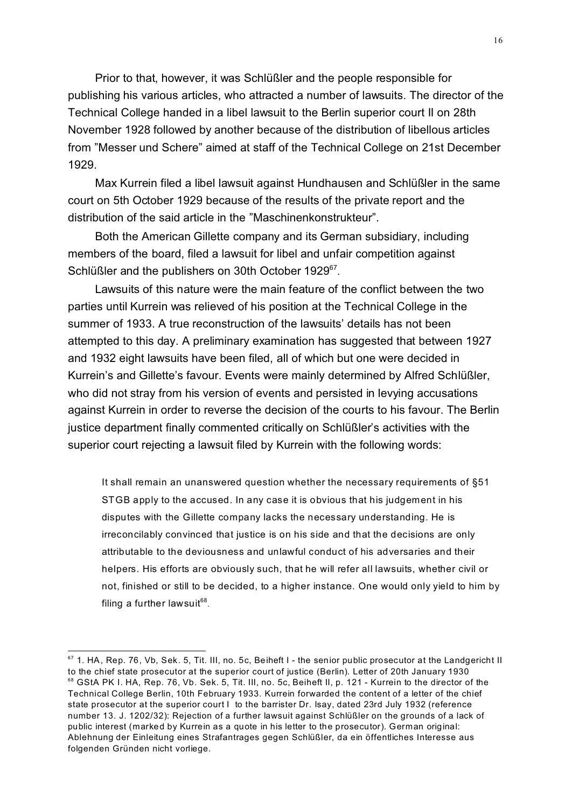Prior to that, however, it was Schlüßler and the people responsible for publishing his various articles, who attracted a number of lawsuits. The director of the Technical College handed in a libel lawsuit to the Berlin superior court II on 28th November 1928 followed by another because of the distribution of libellous articles from "Messer und Schere" aimed at staff of the Technical College on 21st December 1929.

Max Kurrein filed a libel lawsuit against Hundhausen and Schlüßler in the same court on 5th October 1929 because of the results of the private report and the distribution of the said article in the "Maschinenkonstrukteur".

Both the American Gillette company and its German subsidiary, including members of the board, filed a lawsuit for libel and unfair competition against Schlüßler and the publishers on 30th October 1929<sup>67</sup>.

Lawsuits of this nature were the main feature of the conflict between the two parties until Kurrein was relieved of his position at the Technical College in the summer of 1933. A true reconstruction of the lawsuits' details has not been attempted to this day. A preliminary examination has suggested that between 1927 and 1932 eight lawsuits have been filed, all of which but one were decided in Kurrein's and Gillette's favour. Events were mainly determined by Alfred Schlüßler, who did not stray from his version of events and persisted in levying accusations against Kurrein in order to reverse the decision of the courts to his favour. The Berlin justice department finally commented critically on Schlüßler's activities with the superior court rejecting a lawsuit filed by Kurrein with the following words:

It shall remain an unanswered question whether the necessary requirements of §51 STGB apply to the accused. In any case it is obvious that his judgement in his disputes with the Gillette company lacks the necessary understanding. He is irreconcilably convinced that justice is on his side and that the decisions are only attributable to the deviousness and unlawful conduct of his adversaries and their helpers. His efforts are obviously such, that he will refer all lawsuits, whether civil or not, finished or still to be decided, to a higher instance. One would only yield to him by filing a further lawsuit $^{\rm 68}.$ 

 $67$  1. HA, Rep. 76, Vb, Sek. 5, Tit. III, no. 5c, Beiheft I - the senior public prosecutor at the Landgericht II to the chief state prosecutor at the superior court of justice (Berlin). Letter of 20th January 1930 <sup>68</sup> GStA PK I. HA, Rep. 76, Vb. Sek. 5, Tit. III, no. 5c, Beiheft II, p. 121 - Kurrein to the director of the Technical College Berlin, 10th February 1933. Kurrein forwarded the content of a letter of the chief state prosecutor at the superior court I to the barrister Dr. Isay, dated 23rd July 1932 (reference number 13. J. 1202/32): Rejection of a further lawsuit against Schlüßler on the grounds of a lack of public interest (marked by Kurrein as a quote in his letter to the prosecutor). German original: Ablehnung der Einleitung eines Strafantrages gegen Schlüßler, da ein öffentliches Interesse aus folgenden Gründen nicht vorliege.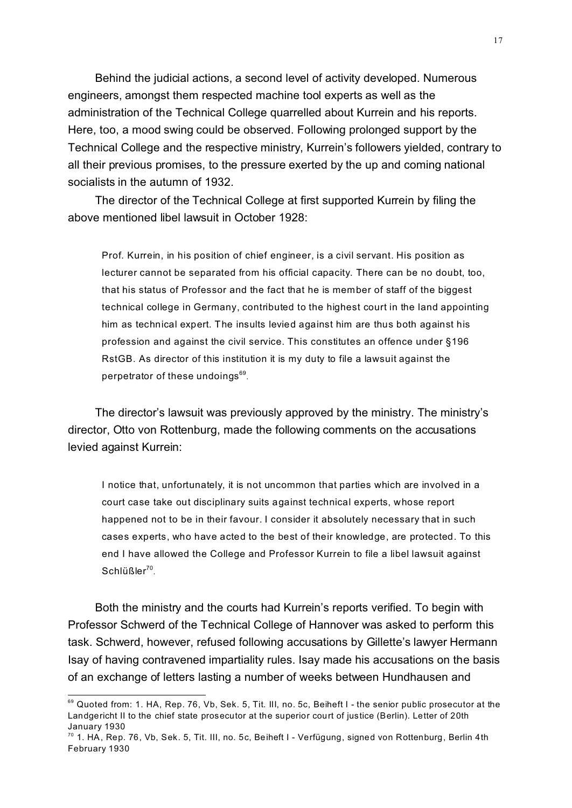Behind the judicial actions, a second level of activity developed. Numerous engineers, amongst them respected machine tool experts as well as the administration of the Technical College quarrelled about Kurrein and his reports. Here, too, a mood swing could be observed. Following prolonged support by the Technical College and the respective ministry, Kurrein's followers yielded, contrary to all their previous promises, to the pressure exerted by the up and coming national socialists in the autumn of 1932.

The director of the Technical College at first supported Kurrein by filing the above mentioned libel lawsuit in October 1928:

Prof. Kurrein, in his position of chief engineer, is a civil servant. His position as lecturer cannot be separated from his official capacity. There can be no doubt, too, that his status of Professor and the fact that he is member of staff of the biggest technical college in Germany, contributed to the highest court in the land appointing him as technical expert. The insults levied against him are thus both against his profession and against the civil service. This constitutes an offence under §196 RstGB. As director of this institution it is my duty to file a lawsuit against the perpetrator of these undoings<sup>69</sup>.

The director's lawsuit was previously approved by the ministry. The ministry's director, Otto von Rottenburg, made the following comments on the accusations levied against Kurrein:

I notice that, unfortunately, it is not uncommon that parties which are involved in a court case take out disciplinary suits against technical experts, whose report happened not to be in their favour. I consider it absolutely necessary that in such cases experts, who have acted to the best of their knowledge, are protected. To this end I have allowed the College and Professor Kurrein to file a libel lawsuit against  $Schlüßler^{70}.$ 

Both the ministry and the courts had Kurrein's reports verified. To begin with Professor Schwerd of the Technical College of Hannover was asked to perform this task. Schwerd, however, refused following accusations by Gillette's lawyer Hermann Isay of having contravened impartiality rules. Isay made his accusations on the basis of an exchange of letters lasting a number of weeks between Hundhausen and

<sup>69</sup> Quoted from: 1. HA, Rep. 76, Vb, Sek. 5, Tit. III, no. 5c, Beiheft I - the senior public prosecutor at the Landgericht II to the chief state prosecutor at the superior court of justice (Berlin). Letter of 20th January 1930

 $70$  1. HA, Rep. 76, Vb, Sek. 5, Tit. III, no. 5c, Beiheft I - Verfügung, signed von Rottenburg, Berlin 4th February 1930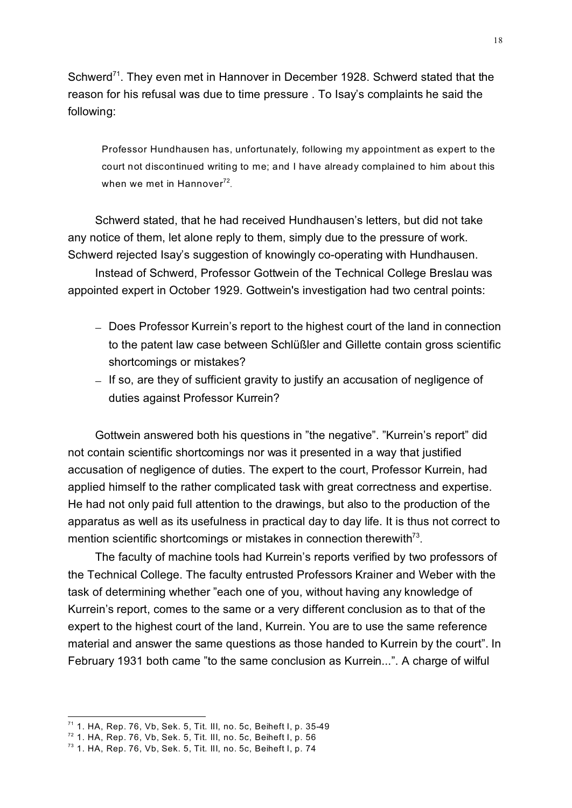Schwerd<sup>71</sup>. They even met in Hannover in December 1928. Schwerd stated that the reason for his refusal was due to time pressure . To Isay's complaints he said the following:

Professor Hundhausen has, unfortunately, following my appointment as expert to the court not discontinued writing to me; and I have already complained to him about this when we met in Hannover $^{72}.$ 

Schwerd stated, that he had received Hundhausen's letters, but did not take any notice of them, let alone reply to them, simply due to the pressure of work. Schwerd rejected Isay's suggestion of knowingly co-operating with Hundhausen. Instead of Schwerd, Professor Gottwein of the Technical College Breslau was

appointed expert in October 1929. Gottwein's investigation had two central points:

Does Professor Kurrein's report to the highest court of the land in connection to the patent law case between Schlüßler and Gillette contain gross scientific shortcomings or mistakes?

If so, are they of sufficient gravity to justify an accusation of negligence of duties against Professor Kurrein?

Gottwein answered both his questions in "the negative". "Kurrein's report" did not contain scientific shortcomings nor was it presented in a way that justified accusation of negligence of duties. The expert to the court, Professor Kurrein, had applied himself to the rather complicated task with great correctness and expertise. He had not only paid full attention to the drawings, but also to the production of the apparatus as well as its usefulness in practical day to day life. It is thus not correct to mention scientific shortcomings or mistakes in connection therewith $7<sup>3</sup>$ .

The faculty of machine tools had Kurrein's reports verified by two professors of the Technical College. The faculty entrusted Professors Krainer and Weber with the task of determining whether "each one of you, without having any knowledge of Kurrein's report, comes to the same or a very different conclusion as to that of the expert to the highest court of the land, Kurrein. You are to use the same reference material and answer the same questions as those handed to Kurrein by the court". In February 1931 both came "to the same conclusion as Kurrein...". A charge of wilful

 $71$  1. HA, Rep. 76, Vb, Sek. 5, Tit. III, no. 5c, Beiheft I, p. 35-49

 $72$  1. HA, Rep. 76, Vb, Sek. 5, Tit. III, no. 5c, Beiheft I, p. 56

<sup>73</sup> 1. HA, Rep. 76, Vb, Sek. 5, Tit. III, no. 5c, Beiheft I, p. 74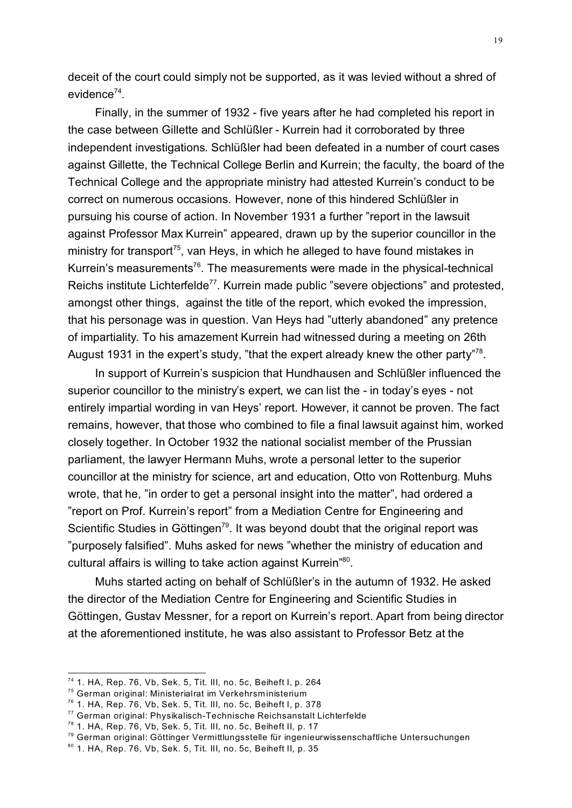deceit of the court could simply not be supported, as it was levied without a shred of evidence<sup>74</sup>.

Finally, in the summer of 1932 - five years after he had completed his report in the case between Gillette and Schlüßler - Kurrein had it corroborated by three independent investigations. Schlüßler had been defeated in a number of court cases against Gillette, the Technical College Berlin and Kurrein; the faculty, the board of the Technical College and the appropriate ministry had attested Kurrein's conduct to be correct on numerous occasions. However, none of this hindered Schlüßler in pursuing his course of action. In November 1931 a further "report in the lawsuit against Professor Max Kurrein" appeared, drawn up by the superior councillor in the ministry for transport<sup>75</sup>, van Heys, in which he alleged to have found mistakes in Kurrein's measurements<sup>76</sup>. The measurements were made in the physical-technical Reichs institute Lichterfelde<sup>77</sup>. Kurrein made public "severe objections" and protested, amongst other things, against the title of the report, which evoked the impression, that his personage was in question. Van Heys had "utterly abandoned" any pretence of impartiality. To his amazement Kurrein had witnessed during a meeting on 26th August 1931 in the expert's study, "that the expert already knew the other party"<sup>78</sup>.

In support of Kurrein's suspicion that Hundhausen and Schlüßler influenced the superior councillor to the ministry's expert, we can list the - in today's eyes - not entirely impartial wording in van Heys' report. However, it cannot be proven. The fact remains, however, that those who combined to file a final lawsuit against him, worked closely together. In October 1932 the national socialist member of the Prussian parliament, the lawyer Hermann Muhs, wrote a personal letter to the superior councillor at the ministry for science, art and education, Otto von Rottenburg. Muhs wrote, that he, "in order to get a personal insight into the matter", had ordered a "report on Prof. Kurrein's report" from a Mediation Centre for Engineering and Scientific Studies in Göttingen<sup>79</sup>. It was beyond doubt that the original report was "purposely falsified". Muhs asked for news "whether the ministry of education and cultural affairs is willing to take action against Kurrein"<sup>80</sup>.

Muhs started acting on behalf of Schlüßler's in the autumn of 1932. He asked the director of the Mediation Centre for Engineering and Scientific Studies in Göttingen, Gustav Messner, for a report on Kurrein's report. Apart from being director at the aforementioned institute, he was also assistant to Professor Betz at the

 $74$  1. HA, Rep. 76, Vb, Sek. 5, Tit. III, no. 5c, Beiheft I, p. 264

<sup>75</sup> German original: Ministerialrat im Verkehrsministerium

 $76$  1. HA, Rep. 76, Vb, Sek. 5, Tit. III, no. 5c, Beiheft I, p. 378

<sup>77</sup> German original: Physikalisch-Technische Reichsanstalt Lichterfelde

<sup>78</sup> 1. HA, Rep. 76, Vb, Sek. 5, Tit. III, no. 5c, Beiheft II, p. 17

<sup>79</sup> German original: Göttinger Vermittlungsstelle für ingenieurwissenschaftliche Untersuchungen

<sup>80</sup> 1. HA, Rep. 76, Vb, Sek. 5, Tit. III, no. 5c, Beiheft II, p. 35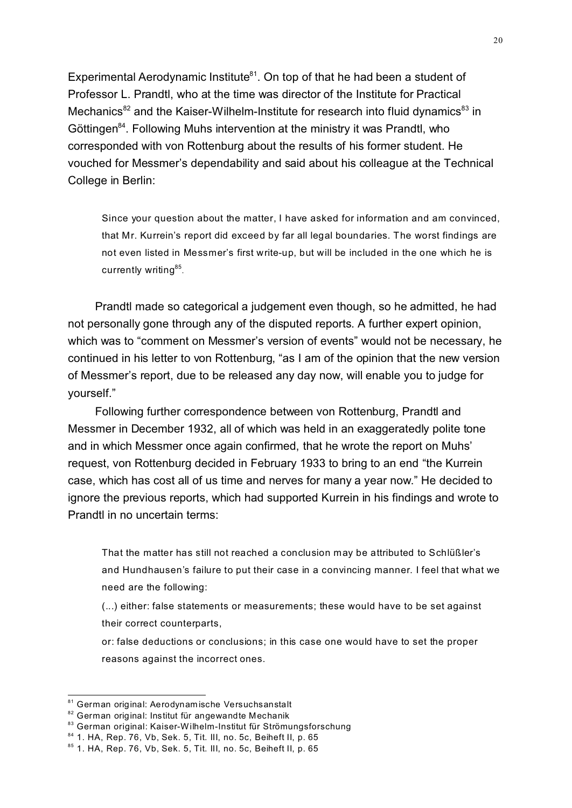Experimental Aerodynamic Institute $81$ . On top of that he had been a student of Professor L. Prandtl, who at the time was director of the Institute for Practical Mechanics<sup>82</sup> and the Kaiser-Wilhelm-Institute for research into fluid dynamics<sup>83</sup> in Göttingen<sup>84</sup>. Following Muhs intervention at the ministry it was Prandtl, who corresponded with von Rottenburg about the results of his former student. He vouched for Messmer's dependability and said about his colleague at the Technical College in Berlin:

Since your question about the matter, I have asked for information and am convinced, that Mr. Kurrein's report did exceed by far all legal boundaries. The worst findings are not even listed in Messmer's first write-up, but will be included in the one which he is currently writing<sup>85</sup>.

Prandtl made so categorical a judgement even though, so he admitted, he had not personally gone through any of the disputed reports. A further expert opinion, which was to "comment on Messmer's version of events" would not be necessary, he continued in his letter to von Rottenburg, "as I am of the opinion that the new version of Messmer's report, due to be released any day now, will enable you to judge for yourself."

Following further correspondence between von Rottenburg, Prandtl and Messmer in December 1932, all of which was held in an exaggeratedly polite tone and in which Messmer once again confirmed, that he wrote the report on Muhs' request, von Rottenburg decided in February 1933 to bring to an end "the Kurrein case, which has cost all of us time and nerves for many a year now." He decided to ignore the previous reports, which had supported Kurrein in his findings and wrote to Prandtl in no uncertain terms:

That the matter has still not reached a conclusion may be attributed to Schlüßler's and Hundhausen's failure to put their case in a convincing manner. I feel that what we need are the following:

(...) either: false statements or measurements; these would have to be set against their correct counterparts,

or: false deductions or conclusions; in this case one would have to set the proper reasons against the incorrect ones.

<sup>81</sup> German original: Aerodynamische Versuchsanstalt

<sup>&</sup>lt;sup>82</sup> German original: Institut für angewandte Mechanik

<sup>83</sup> German original: Kaiser-Wilhelm-Institut für Strömungsforschung

<sup>84</sup> 1. HA, Rep. 76, Vb, Sek. 5, Tit. III, no. 5c, Beiheft II, p. 65

<sup>85</sup> 1. HA, Rep. 76, Vb, Sek. 5, Tit. III, no. 5c, Beiheft II, p. 65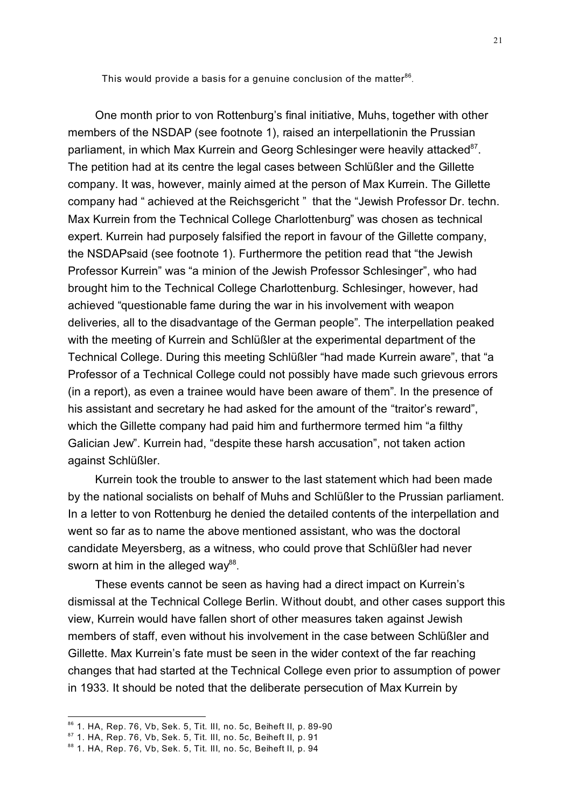This would provide a basis for a genuine conclusion of the matter $^{86}$ .

One month prior to von Rottenburg's final initiative, Muhs, together with other members of the NSDAP (see footnote 1), raised an interpellationin the Prussian parliament, in which Max Kurrein and Georg Schlesinger were heavily attacked<sup>87</sup>. The petition had at its centre the legal cases between Schlüßler and the Gillette company. It was, however, mainly aimed at the person of Max Kurrein. The Gillette company had " achieved at the Reichsgericht " that the "Jewish Professor Dr. techn. Max Kurrein from the Technical College Charlottenburg" was chosen as technical expert. Kurrein had purposely falsified the report in favour of the Gillette company, the NSDAPsaid (see footnote 1). Furthermore the petition read that "the Jewish Professor Kurrein" was "a minion of the Jewish Professor Schlesinger", who had brought him to the Technical College Charlottenburg. Schlesinger, however, had achieved "questionable fame during the war in his involvement with weapon deliveries, all to the disadvantage of the German people". The interpellation peaked with the meeting of Kurrein and Schlüßler at the experimental department of the Technical College. During this meeting Schlüßler "had made Kurrein aware", that "a Professor of a Technical College could not possibly have made such grievous errors (in a report), as even a trainee would have been aware of them". In the presence of his assistant and secretary he had asked for the amount of the "traitor's reward", which the Gillette company had paid him and furthermore termed him "a filthy Galician Jew". Kurrein had, "despite these harsh accusation", not taken action against Schlüßler.

Kurrein took the trouble to answer to the last statement which had been made by the national socialists on behalf of Muhs and Schlüßler to the Prussian parliament. In a letter to von Rottenburg he denied the detailed contents of the interpellation and went so far as to name the above mentioned assistant, who was the doctoral candidate Meyersberg, as a witness, who could prove that Schlüßler had never sworn at him in the alleged way<sup>88</sup>.

These events cannot be seen as having had a direct impact on Kurrein's dismissal at the Technical College Berlin. Without doubt, and other cases support this view, Kurrein would have fallen short of other measures taken against Jewish members of staff, even without his involvement in the case between Schlüßler and Gillette. Max Kurrein's fate must be seen in the wider context of the far reaching changes that had started at the Technical College even prior to assumption of power in 1933. It should be noted that the deliberate persecution of Max Kurrein by

<sup>86</sup> 1. HA, Rep. 76, Vb, Sek. 5, Tit. III, no. 5c, Beiheft II, p. 89-90

 $87$  1. HA, Rep. 76, Vb, Sek. 5, Tit. III, no. 5c, Beiheft II, p. 91

<sup>88</sup> 1. HA, Rep. 76, Vb, Sek. 5, Tit. III, no. 5c, Beiheft II, p. 94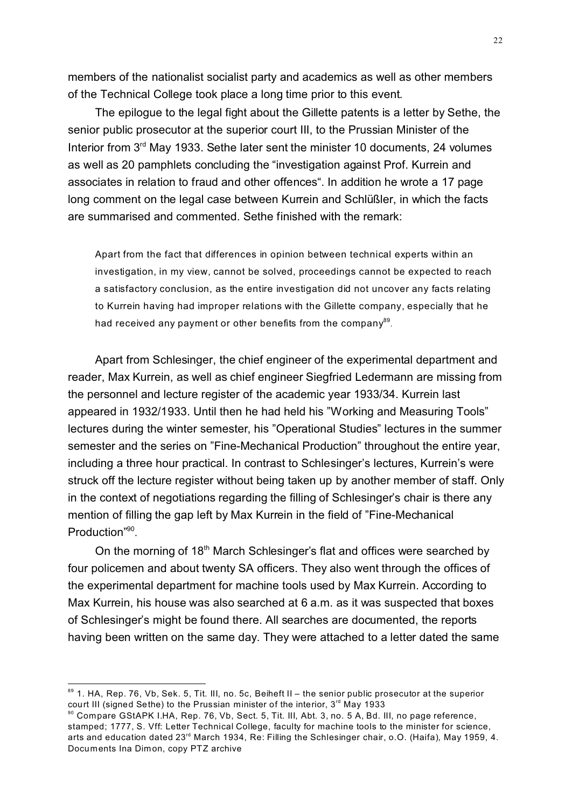members of the nationalist socialist party and academics as well as other members of the Technical College took place a long time prior to this event.

The epilogue to the legal fight about the Gillette patents is a letter by Sethe, the senior public prosecutor at the superior court III, to the Prussian Minister of the Interior from  $3<sup>rd</sup>$  May 1933. Sethe later sent the minister 10 documents, 24 volumes as well as 20 pamphlets concluding the "investigation against Prof. Kurrein and associates in relation to fraud and other offences". In addition he wrote a 17 page long comment on the legal case between Kurrein and Schlüßler, in which the facts are summarised and commented. Sethe finished with the remark:

Apart from the fact that differences in opinion between technical experts within an investigation, in my view, cannot be solved, proceedings cannot be expected to reach a satisfactory conclusion, as the entire investigation did not uncover any facts relating to Kurrein having had improper relations with the Gillette company, especially that he had received any payment or other benefits from the company $^{\rm 89}$ .

Apart from Schlesinger, the chief engineer of the experimental department and reader, Max Kurrein, as well as chief engineer Siegfried Ledermann are missing from the personnel and lecture register of the academic year 1933/34. Kurrein last appeared in 1932/1933. Until then he had held his "Working and Measuring Tools" lectures during the winter semester, his "Operational Studies" lectures in the summer semester and the series on "Fine-Mechanical Production" throughout the entire year, including a three hour practical. In contrast to Schlesinger's lectures, Kurrein's were struck off the lecture register without being taken up by another member of staff. Only in the context of negotiations regarding the filling of Schlesinger's chair is there any mention of filling the gap left by Max Kurrein in the field of "Fine-Mechanical Production"90.

On the morning of 18<sup>th</sup> March Schlesinger's flat and offices were searched by four policemen and about twenty SA officers. They also went through the offices of the experimental department for machine tools used by Max Kurrein. According to Max Kurrein, his house was also searched at 6 a.m. as it was suspected that boxes of Schlesinger's might be found there. All searches are documented, the reports having been written on the same day. They were attached to a letter dated the same

<sup>89 1.</sup> HA, Rep. 76, Vb, Sek. 5, Tit. III, no. 5c, Beiheft II – the senior public prosecutor at the superior court III (signed Sethe) to the Prussian minister of the interior,  $3<sup>rd</sup>$  May 1933

<sup>90</sup> Compare GStAPK I.HA, Rep. 76, Vb, Sect. 5, Tit. III, Abt. 3, no. 5 A, Bd. III, no page reference, stamped; 1777, S. Vff: Letter Technical College, faculty for machine tools to the minister for science, arts and education dated 23<sup>rd</sup> March 1934, Re: Filling the Schlesinger chair, o.O. (Haifa), May 1959, 4. Documents Ina Dimon, copy PTZ archive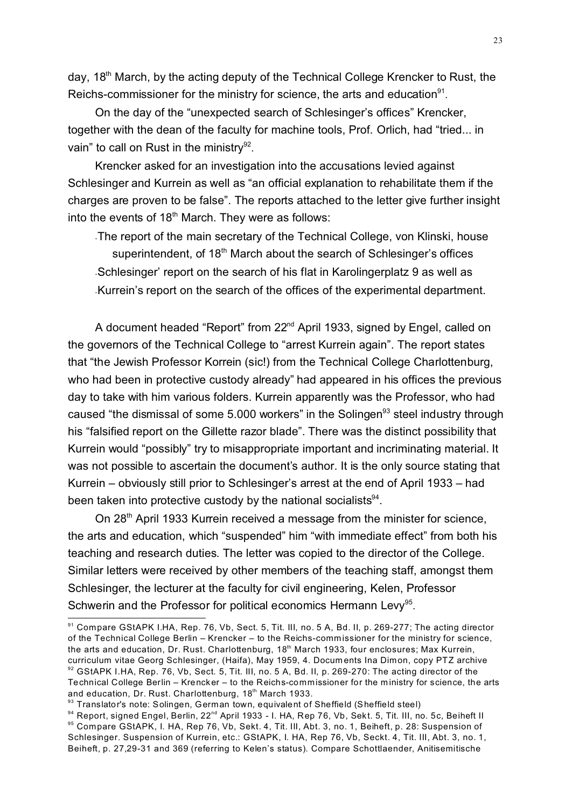day, 18<sup>th</sup> March, by the acting deputy of the Technical College Krencker to Rust, the Reichs-commissioner for the ministry for science, the arts and education $91$ .

On the day of the "unexpected search of Schlesinger's offices" Krencker, together with the dean of the faculty for machine tools, Prof. Orlich, had "tried... in vain" to call on Rust in the ministry<sup>92</sup>.

Krencker asked for an investigation into the accusations levied against Schlesinger and Kurrein as well as "an official explanation to rehabilitate them if the charges are proven to be false". The reports attached to the letter give further insight into the events of 18<sup>th</sup> March. They were as follows:

-The report of the main secretary of the Technical College, von Klinski, house superintendent, of 18<sup>th</sup> March about the search of Schlesinger's offices -Schlesinger' report on the search of his flat in Karolingerplatz 9 as well as -Kurrein's report on the search of the offices of the experimental department.

A document headed "Report" from 22<sup>nd</sup> April 1933, signed by Engel, called on the governors of the Technical College to "arrest Kurrein again". The report states that "the Jewish Professor Korrein (sic!) from the Technical College Charlottenburg, who had been in protective custody already" had appeared in his offices the previous day to take with him various folders. Kurrein apparently was the Professor, who had caused "the dismissal of some 5.000 workers" in the Solingen<sup>93</sup> steel industry through his "falsified report on the Gillette razor blade". There was the distinct possibility that Kurrein would "possibly" try to misappropriate important and incriminating material. It was not possible to ascertain the document's author. It is the only source stating that Kurrein – obviously still prior to Schlesinger's arrest at the end of April 1933 – had been taken into protective custody by the national socialists $94$ .

On 28<sup>th</sup> April 1933 Kurrein received a message from the minister for science, the arts and education, which "suspended" him "with immediate effect" from both his teaching and research duties. The letter was copied to the director of the College. Similar letters were received by other members of the teaching staff, amongst them Schlesinger, the lecturer at the faculty for civil engineering, Kelen, Professor Schwerin and the Professor for political economics Hermann Levy<sup>95</sup>.

<sup>91</sup> Compare GStAPK I.HA, Rep. 76, Vb, Sect. 5, Tit. III, no. 5 A, Bd. II, p. 269-277; The acting director of the Technical College Berlin – Krencker – to the Reichs-comm issioner for the ministry for science, the arts and education, Dr. Rust. Charlottenburg, 18<sup>th</sup> March 1933, four enclosures; Max Kurrein, curriculum vitae Georg Schlesinger, (Haifa), May 1959, 4. Docum ents Ina Dimon, copy PTZ archive 92 GStAPK I.HA, Rep. 76, Vb, Sect. 5, Tit. III, no. 5 A, Bd. II, p. 269-270: The acting director of the Technical College Berlin – Krencker – to the Reichs-commissioner for the m inistry for science, the arts and education, Dr. Rust. Charlottenburg, 18<sup>th</sup> March 1933.

<sup>93</sup> Translator's note: Solingen, German town, equivalent of Sheffield (Sheffield steel)

<sup>94</sup> Report, signed Engel, Berlin, 22<sup>nd</sup> April 1933 - I. HA, Rep 76, Vb, Sekt. 5, Tit. III, no. 5c, Beiheft II 95 Compare GStAPK, I. HA, Rep 76, Vb, Sekt. 4, Tit. III, Abt. 3, no. 1, Beiheft, p. 28: Suspension of Schlesinger. Suspension of Kurrein, etc.: GStAPK, I. HA, Rep 76, Vb, Seckt. 4, Tit. III, Abt. 3, no. 1, Beiheft, p. 27,29-31 and 369 (referring to Kelen's status). Compare Schottlaender, Anitisemitische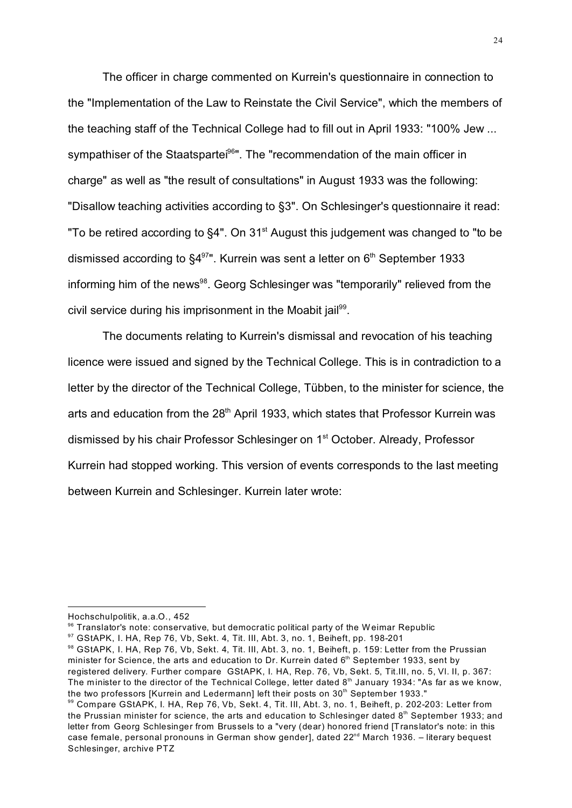The officer in charge commented on Kurrein's questionnaire in connection to the "Implementation of the Law to Reinstate the Civil Service", which the members of the teaching staff of the Technical College had to fill out in April 1933: "100% Jew ... sympathiser of the Staatspartei<sup>96</sup>". The "recommendation of the main officer in charge" as well as "the result of consultations" in August 1933 was the following: "Disallow teaching activities according to §3". On Schlesinger's questionnaire it read: "To be retired according to  $\S4$ ". On 31<sup>st</sup> August this judgement was changed to "to be dismissed according to  $\S4^{97}$ ". Kurrein was sent a letter on  $6<sup>th</sup>$  September 1933 informing him of the news<sup>98</sup>. Georg Schlesinger was "temporarily" relieved from the civil service during his imprisonment in the Moabit jail<sup>99</sup>.

The documents relating to Kurrein's dismissal and revocation of his teaching licence were issued and signed by the Technical College. This is in contradiction to a letter by the director of the Technical College, Tübben, to the minister for science, the arts and education from the  $28<sup>th</sup>$  April 1933, which states that Professor Kurrein was dismissed by his chair Professor Schlesinger on 1<sup>st</sup> October. Already, Professor Kurrein had stopped working. This version of events corresponds to the last meeting between Kurrein and Schlesinger. Kurrein later wrote:

Hochschulpolitik, a.a.O., 452

<sup>96</sup> Translator's note: conservative, but democratic political party of the Weimar Republic

<sup>97</sup> GStAPK, I. HA, Rep 76, Vb, Sekt. 4, Tit. III, Abt. 3, no. 1, Beiheft, pp. 198-201

<sup>98</sup> GStAPK, I. HA, Rep 76, Vb, Sekt. 4, Tit. III, Abt. 3, no. 1, Beiheft, p. 159: Letter from the Prussian minister for Science, the arts and education to Dr. Kurrein dated 6<sup>th</sup> September 1933, sent by registered delivery. Further compare GStAPK, I. HA, Rep. 76, Vb, Sekt. 5, Tit.III, no. 5, Vl. II, p. 367: The minister to the director of the Technical College, letter dated 8<sup>th</sup> January 1934: "As far as we know, the two professors [Kurrein and Ledermann] left their posts on 30<sup>th</sup> September 1933."

<sup>99</sup> Compare GStAPK, I. HA, Rep 76, Vb, Sekt. 4, Tit. III, Abt. 3, no. 1, Beiheft, p. 202-203: Letter from the Prussian minister for science, the arts and education to Schlesinger dated  $8<sup>th</sup>$  September 1933; and letter from Georg Schlesinger from Brussels to a "very (dear) honored friend [Translator's note: in this case female, personal pronouns in German show gender], dated 22<sup>nd</sup> March 1936. – literary bequest Schlesinger, archive PTZ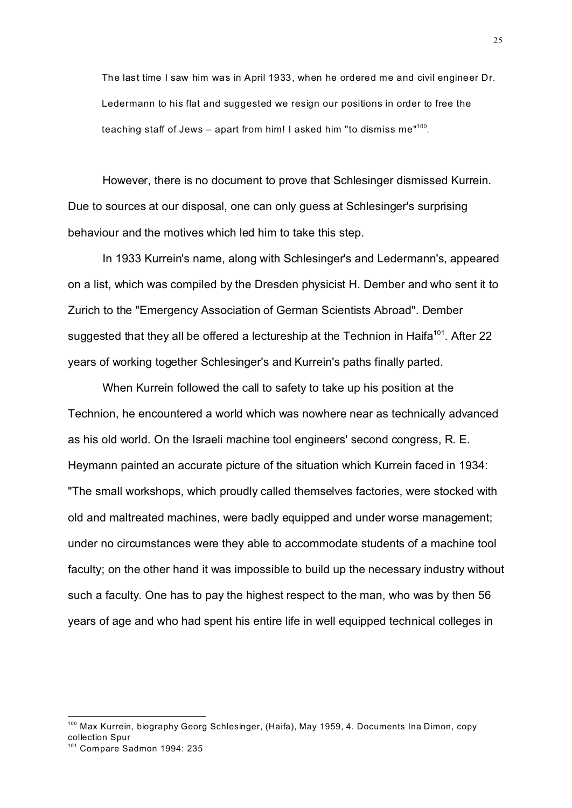The last time I saw him was in April 1933, when he ordered me and civil engineer Dr. Ledermann to his flat and suggested we resign our positions in order to free the teaching staff of Jews – apart from him! I asked him "to dismiss me"<sup>100</sup>.

However, there is no document to prove that Schlesinger dismissed Kurrein. Due to sources at our disposal, one can only guess at Schlesinger's surprising behaviour and the motives which led him to take this step.

In 1933 Kurrein's name, along with Schlesinger's and Ledermann's, appeared on a list, which was compiled by the Dresden physicist H. Dember and who sent it to Zurich to the "Emergency Association of German Scientists Abroad". Dember suggested that they all be offered a lectureship at the Technion in Haifa<sup>101</sup>. After 22 years of working together Schlesinger's and Kurrein's paths finally parted.

When Kurrein followed the call to safety to take up his position at the Technion, he encountered a world which was nowhere near as technically advanced as his old world. On the Israeli machine tool engineers' second congress, R. E. Heymann painted an accurate picture of the situation which Kurrein faced in 1934: "The small workshops, which proudly called themselves factories, were stocked with old and maltreated machines, were badly equipped and under worse management; under no circumstances were they able to accommodate students of a machine tool faculty; on the other hand it was impossible to build up the necessary industry without such a faculty. One has to pay the highest respect to the man, who was by then 56 years of age and who had spent his entire life in well equipped technical colleges in

<sup>&</sup>lt;sup>100</sup> Max Kurrein, biography Georg Schlesinger, (Haifa), May 1959, 4. Documents Ina Dimon, copy collection Spur

<sup>101</sup> Compare Sadmon 1994: 235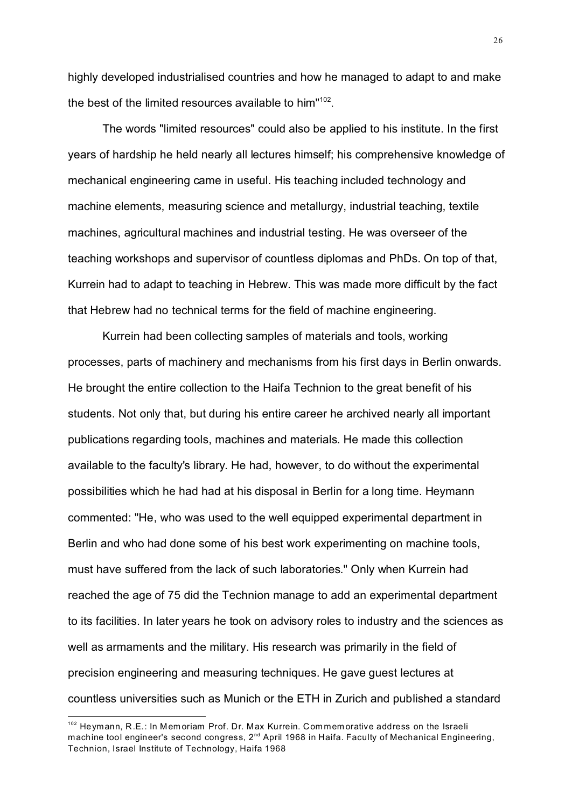highly developed industrialised countries and how he managed to adapt to and make the best of the limited resources available to him"<sup>102</sup>.

The words "limited resources" could also be applied to his institute. In the first years of hardship he held nearly all lectures himself; his comprehensive knowledge of mechanical engineering came in useful. His teaching included technology and machine elements, measuring science and metallurgy, industrial teaching, textile machines, agricultural machines and industrial testing. He was overseer of the teaching workshops and supervisor of countless diplomas and PhDs. On top of that, Kurrein had to adapt to teaching in Hebrew. This was made more difficult by the fact that Hebrew had no technical terms for the field of machine engineering.

Kurrein had been collecting samples of materials and tools, working processes, parts of machinery and mechanisms from his first days in Berlin onwards. He brought the entire collection to the Haifa Technion to the great benefit of his students. Not only that, but during his entire career he archived nearly all important publications regarding tools, machines and materials. He made this collection available to the faculty's library. He had, however, to do without the experimental possibilities which he had had at his disposal in Berlin for a long time. Heymann commented: "He, who was used to the well equipped experimental department in Berlin and who had done some of his best work experimenting on machine tools, must have suffered from the lack of such laboratories." Only when Kurrein had reached the age of 75 did the Technion manage to add an experimental department to its facilities. In later years he took on advisory roles to industry and the sciences as well as armaments and the military. His research was primarily in the field of precision engineering and measuring techniques. He gave guest lectures at countless universities such as Munich or the ETH in Zurich and published a standard

<sup>&</sup>lt;sup>102</sup> Heymann, R.E.: In Memoriam Prof. Dr. Max Kurrein. Commemorative address on the Israeli machine tool engineer's second congress, 2<sup>nd</sup> April 1968 in Haifa. Faculty of Mechanical Engineering, Technion, Israel Institute of Technology, Haifa 1968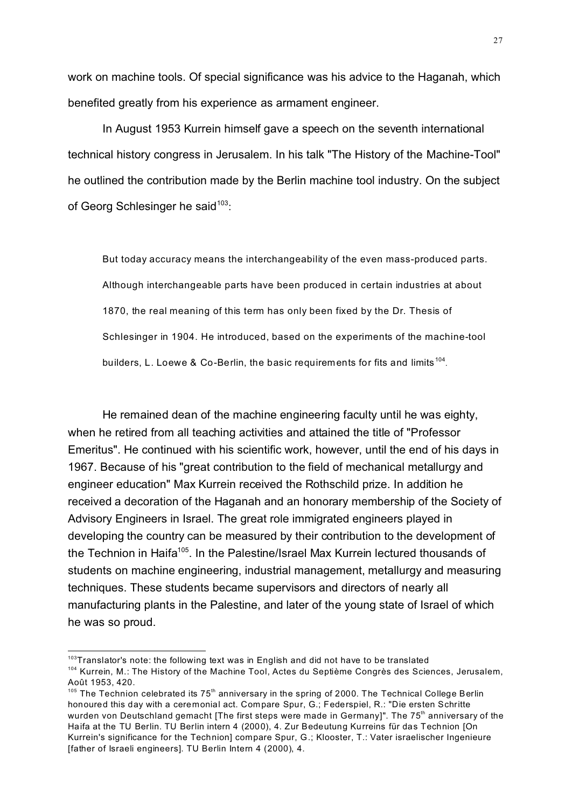work on machine tools. Of special significance was his advice to the Haganah, which benefited greatly from his experience as armament engineer.

In August 1953 Kurrein himself gave a speech on the seventh international technical history congress in Jerusalem. In his talk "The History of the Machine-Tool" he outlined the contribution made by the Berlin machine tool industry. On the subject of Georg Schlesinger he said<sup>103</sup>:

But today accuracy means the interchangeability of the even mass-produced parts. Although interchangeable parts have been produced in certain industries at about 1870, the real meaning of this term has only been fixed by the Dr. Thesis of Schlesinger in 1904. He introduced, based on the experiments of the machine-tool builders, L. Loewe & Co-Berlin, the basic requirements for fits and limits<sup>104</sup>.

He remained dean of the machine engineering faculty until he was eighty, when he retired from all teaching activities and attained the title of "Professor Emeritus". He continued with his scientific work, however, until the end of his days in 1967. Because of his "great contribution to the field of mechanical metallurgy and engineer education" Max Kurrein received the Rothschild prize. In addition he received a decoration of the Haganah and an honorary membership of the Society of Advisory Engineers in Israel. The great role immigrated engineers played in developing the country can be measured by their contribution to the development of the Technion in Haifa<sup>105</sup>. In the Palestine/Israel Max Kurrein lectured thousands of students on machine engineering, industrial management, metallurgy and measuring techniques. These students became supervisors and directors of nearly all manufacturing plants in the Palestine, and later of the young state of Israel of which he was so proud.

 $103$ Translator's note: the following text was in English and did not have to be translated

<sup>&</sup>lt;sup>104</sup> Kurrein, M.: The History of the Machine Tool, Actes du Septième Congrès des Sciences, Jerusalem, Août 1953, 420.

 $105$  The Technion celebrated its  $75<sup>th</sup>$  anniversary in the spring of 2000. The Technical College Berlin honoured this day with a ceremonial act. Compare Spur, G.; Federspiel, R.: "Die ersten Schritte wurden von Deutschland gemacht [The first steps were made in Germany]". The 75<sup>th</sup> anniversary of the Haifa at the TU Berlin. TU Berlin intern 4 (2000), 4. Zur Bedeutung Kurreins für das Technion [On Kurrein's significance for the Technion] compare Spur, G.; Klooster, T.: Vater israelischer Ingenieure [father of Israeli engineers]. TU Berlin Intern 4 (2000), 4.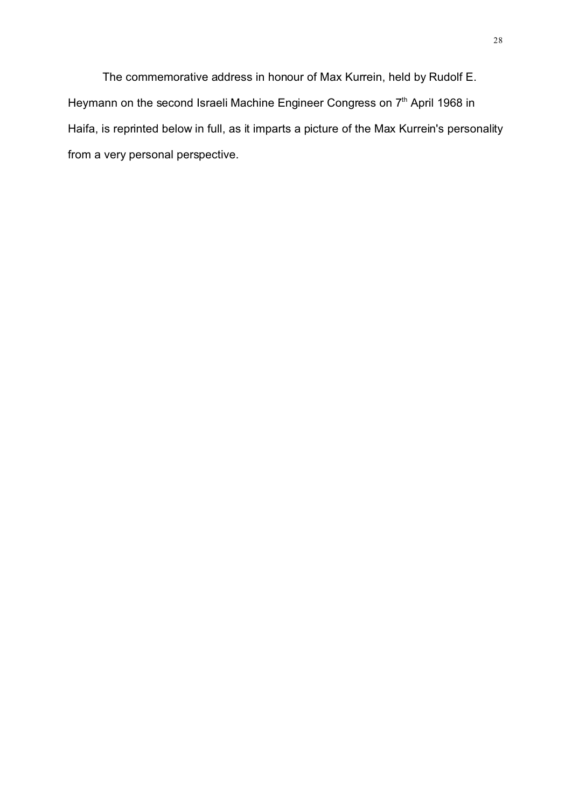The commemorative address in honour of Max Kurrein, held by Rudolf E. Heymann on the second Israeli Machine Engineer Congress on 7<sup>th</sup> April 1968 in Haifa, is reprinted below in full, as it imparts a picture of the Max Kurrein's personality from a very personal perspective.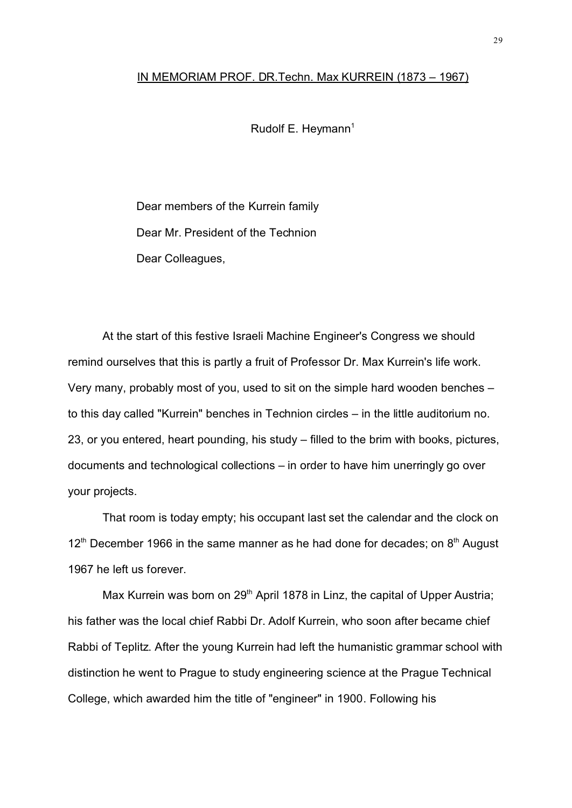## IN MEMORIAM PROF. DR.Techn. Max KURREIN (1873 – 1967)

Rudolf E. Heymann $<sup>1</sup>$ </sup>

Dear members of the Kurrein family Dear Mr. President of the Technion Dear Colleagues,

At the start of this festive Israeli Machine Engineer's Congress we should remind ourselves that this is partly a fruit of Professor Dr. Max Kurrein's life work. Very many, probably most of you, used to sit on the simple hard wooden benches – to this day called "Kurrein" benches in Technion circles – in the little auditorium no. 23, or you entered, heart pounding, his study – filled to the brim with books, pictures, documents and technological collections – in order to have him unerringly go over your projects.

That room is today empty; his occupant last set the calendar and the clock on  $12<sup>th</sup>$  December 1966 in the same manner as he had done for decades; on  $8<sup>th</sup>$  August 1967 he left us forever.

Max Kurrein was born on 29<sup>th</sup> April 1878 in Linz, the capital of Upper Austria; his father was the local chief Rabbi Dr. Adolf Kurrein, who soon after became chief Rabbi of Teplitz. After the young Kurrein had left the humanistic grammar school with distinction he went to Prague to study engineering science at the Prague Technical College, which awarded him the title of "engineer" in 1900. Following his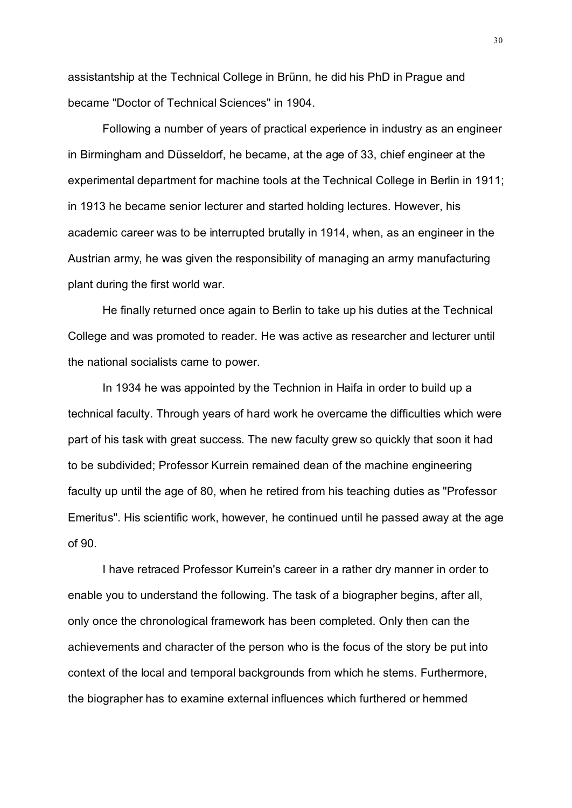assistantship at the Technical College in Brünn, he did his PhD in Prague and became "Doctor of Technical Sciences" in 1904.

Following a number of years of practical experience in industry as an engineer in Birmingham and Düsseldorf, he became, at the age of 33, chief engineer at the experimental department for machine tools at the Technical College in Berlin in 1911; in 1913 he became senior lecturer and started holding lectures. However, his academic career was to be interrupted brutally in 1914, when, as an engineer in the Austrian army, he was given the responsibility of managing an army manufacturing plant during the first world war.

He finally returned once again to Berlin to take up his duties at the Technical College and was promoted to reader. He was active as researcher and lecturer until the national socialists came to power.

In 1934 he was appointed by the Technion in Haifa in order to build up a technical faculty. Through years of hard work he overcame the difficulties which were part of his task with great success. The new faculty grew so quickly that soon it had to be subdivided; Professor Kurrein remained dean of the machine engineering faculty up until the age of 80, when he retired from his teaching duties as "Professor Emeritus". His scientific work, however, he continued until he passed away at the age of 90.

I have retraced Professor Kurrein's career in a rather dry manner in order to enable you to understand the following. The task of a biographer begins, after all, only once the chronological framework has been completed. Only then can the achievements and character of the person who is the focus of the story be put into context of the local and temporal backgrounds from which he stems. Furthermore, the biographer has to examine external influences which furthered or hemmed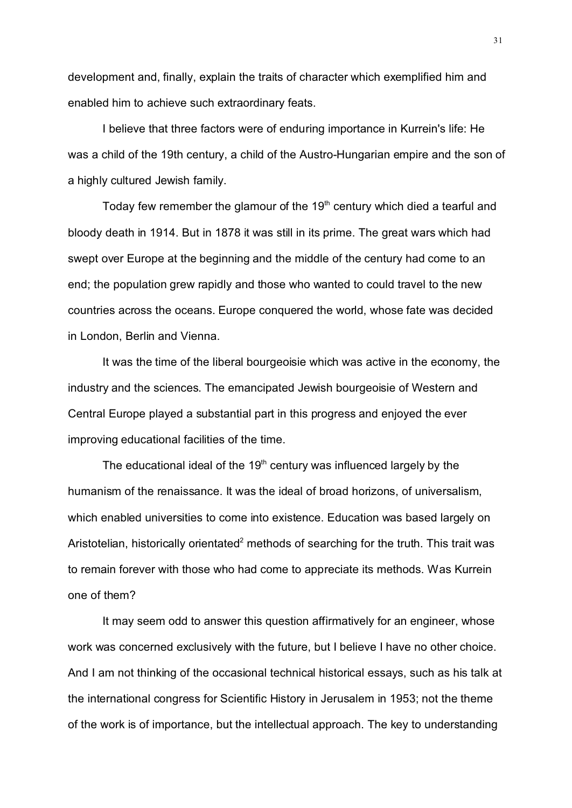development and, finally, explain the traits of character which exemplified him and enabled him to achieve such extraordinary feats.

I believe that three factors were of enduring importance in Kurrein's life: He was a child of the 19th century, a child of the Austro-Hungarian empire and the son of a highly cultured Jewish family.

Today few remember the glamour of the 19<sup>th</sup> century which died a tearful and bloody death in 1914. But in 1878 it was still in its prime. The great wars which had swept over Europe at the beginning and the middle of the century had come to an end; the population grew rapidly and those who wanted to could travel to the new countries across the oceans. Europe conquered the world, whose fate was decided in London, Berlin and Vienna.

It was the time of the liberal bourgeoisie which was active in the economy, the industry and the sciences. The emancipated Jewish bourgeoisie of Western and Central Europe played a substantial part in this progress and enjoyed the ever improving educational facilities of the time.

The educational ideal of the  $19<sup>th</sup>$  century was influenced largely by the humanism of the renaissance. It was the ideal of broad horizons, of universalism, which enabled universities to come into existence. Education was based largely on Aristotelian, historically orientated<sup>2</sup> methods of searching for the truth. This trait was to remain forever with those who had come to appreciate its methods. Was Kurrein one of them?

It may seem odd to answer this question affirmatively for an engineer, whose work was concerned exclusively with the future, but I believe I have no other choice. And I am not thinking of the occasional technical historical essays, such as his talk at the international congress for Scientific History in Jerusalem in 1953; not the theme of the work is of importance, but the intellectual approach. The key to understanding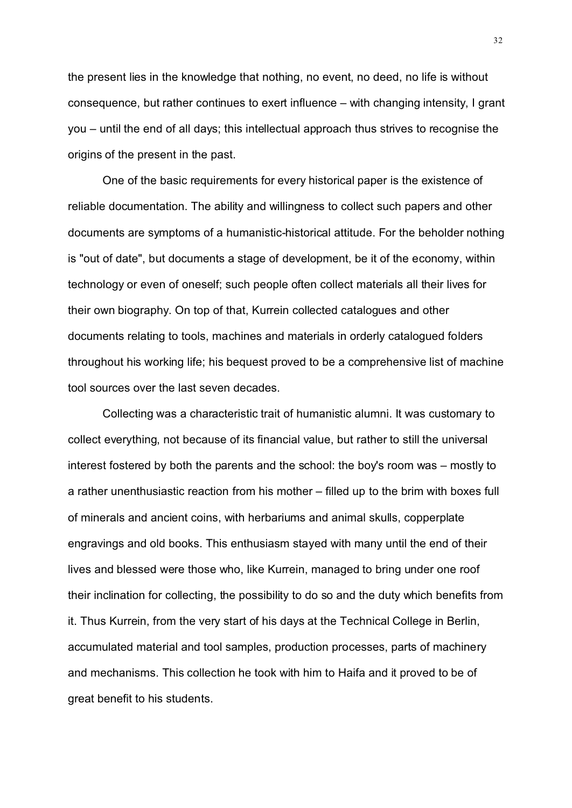the present lies in the knowledge that nothing, no event, no deed, no life is without consequence, but rather continues to exert influence – with changing intensity, I grant you – until the end of all days; this intellectual approach thus strives to recognise the origins of the present in the past.

One of the basic requirements for every historical paper is the existence of reliable documentation. The ability and willingness to collect such papers and other documents are symptoms of a humanistic-historical attitude. For the beholder nothing is "out of date", but documents a stage of development, be it of the economy, within technology or even of oneself; such people often collect materials all their lives for their own biography. On top of that, Kurrein collected catalogues and other documents relating to tools, machines and materials in orderly catalogued folders throughout his working life; his bequest proved to be a comprehensive list of machine tool sources over the last seven decades.

Collecting was a characteristic trait of humanistic alumni. It was customary to collect everything, not because of its financial value, but rather to still the universal interest fostered by both the parents and the school: the boy's room was – mostly to a rather unenthusiastic reaction from his mother – filled up to the brim with boxes full of minerals and ancient coins, with herbariums and animal skulls, copperplate engravings and old books. This enthusiasm stayed with many until the end of their lives and blessed were those who, like Kurrein, managed to bring under one roof their inclination for collecting, the possibility to do so and the duty which benefits from it. Thus Kurrein, from the very start of his days at the Technical College in Berlin, accumulated material and tool samples, production processes, parts of machinery and mechanisms. This collection he took with him to Haifa and it proved to be of great benefit to his students.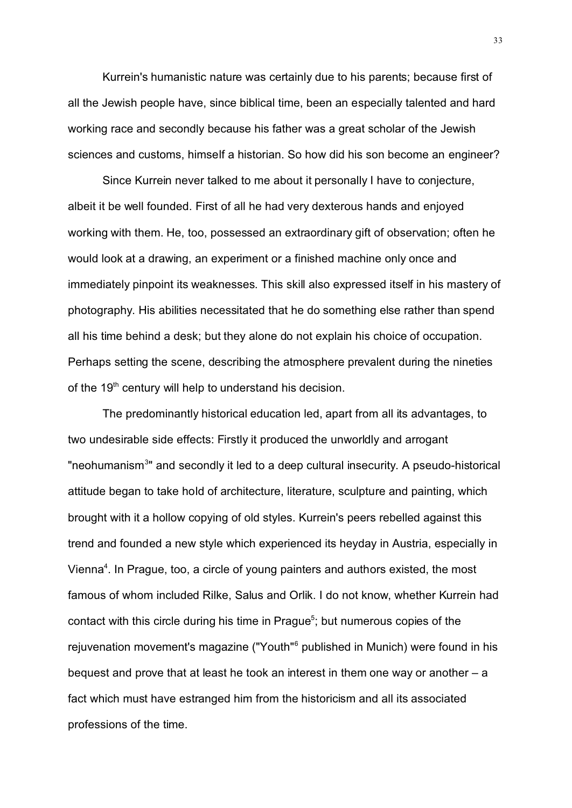Kurrein's humanistic nature was certainly due to his parents; because first of all the Jewish people have, since biblical time, been an especially talented and hard working race and secondly because his father was a great scholar of the Jewish sciences and customs, himself a historian. So how did his son become an engineer?

Since Kurrein never talked to me about it personally I have to conjecture, albeit it be well founded. First of all he had very dexterous hands and enjoyed working with them. He, too, possessed an extraordinary gift of observation; often he would look at a drawing, an experiment or a finished machine only once and immediately pinpoint its weaknesses. This skill also expressed itself in his mastery of photography. His abilities necessitated that he do something else rather than spend all his time behind a desk; but they alone do not explain his choice of occupation. Perhaps setting the scene, describing the atmosphere prevalent during the nineties of the 19<sup>th</sup> century will help to understand his decision.

The predominantly historical education led, apart from all its advantages, to two undesirable side effects: Firstly it produced the unworldly and arrogant "neohumanism<sup>3</sup>" and secondly it led to a deep cultural insecurity. A pseudo-historical attitude began to take hold of architecture, literature, sculpture and painting, which brought with it a hollow copying of old styles. Kurrein's peers rebelled against this trend and founded a new style which experienced its heyday in Austria, especially in Vienna<sup>4</sup>. In Prague, too, a circle of young painters and authors existed, the most famous of whom included Rilke, Salus and Orlik. I do not know, whether Kurrein had contact with this circle during his time in Prague<sup>5</sup>; but numerous copies of the rejuvenation movement's magazine ("Youth"<sup>6</sup> published in Munich) were found in his bequest and prove that at least he took an interest in them one way or another – a fact which must have estranged him from the historicism and all its associated professions of the time.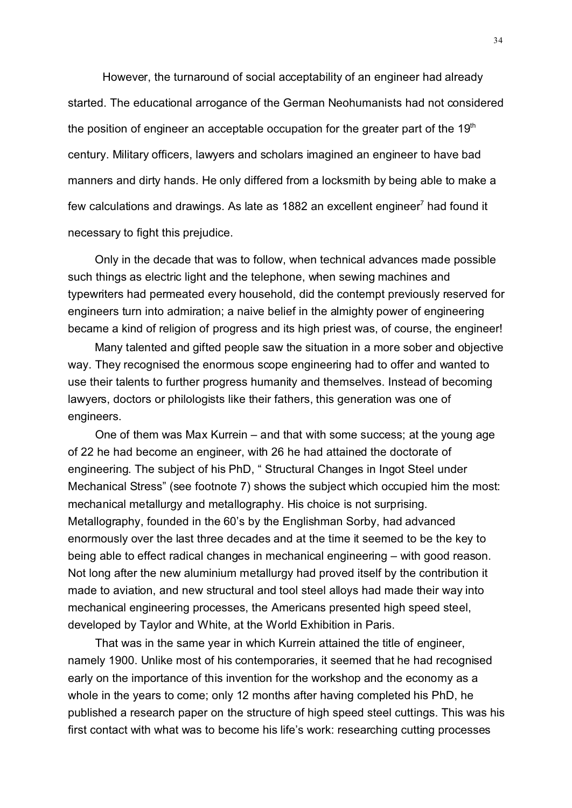However, the turnaround of social acceptability of an engineer had already started. The educational arrogance of the German Neohumanists had not considered the position of engineer an acceptable occupation for the greater part of the  $19<sup>th</sup>$ century. Military officers, lawyers and scholars imagined an engineer to have bad manners and dirty hands. He only differed from a locksmith by being able to make a few calculations and drawings. As late as 1882 an excellent engineer<sup>7</sup> had found it necessary to fight this prejudice.

Only in the decade that was to follow, when technical advances made possible such things as electric light and the telephone, when sewing machines and typewriters had permeated every household, did the contempt previously reserved for engineers turn into admiration; a naive belief in the almighty power of engineering became a kind of religion of progress and its high priest was, of course, the engineer!

Many talented and gifted people saw the situation in a more sober and objective way. They recognised the enormous scope engineering had to offer and wanted to use their talents to further progress humanity and themselves. Instead of becoming lawyers, doctors or philologists like their fathers, this generation was one of engineers.

One of them was Max Kurrein – and that with some success; at the young age of 22 he had become an engineer, with 26 he had attained the doctorate of engineering. The subject of his PhD, " Structural Changes in Ingot Steel under Mechanical Stress" (see footnote 7) shows the subject which occupied him the most: mechanical metallurgy and metallography. His choice is not surprising. Metallography, founded in the 60's by the Englishman Sorby, had advanced enormously over the last three decades and at the time it seemed to be the key to being able to effect radical changes in mechanical engineering – with good reason. Not long after the new aluminium metallurgy had proved itself by the contribution it made to aviation, and new structural and tool steel alloys had made their way into mechanical engineering processes, the Americans presented high speed steel, developed by Taylor and White, at the World Exhibition in Paris.

That was in the same year in which Kurrein attained the title of engineer, namely 1900. Unlike most of his contemporaries, it seemed that he had recognised early on the importance of this invention for the workshop and the economy as a whole in the years to come; only 12 months after having completed his PhD, he published a research paper on the structure of high speed steel cuttings. This was his first contact with what was to become his life's work: researching cutting processes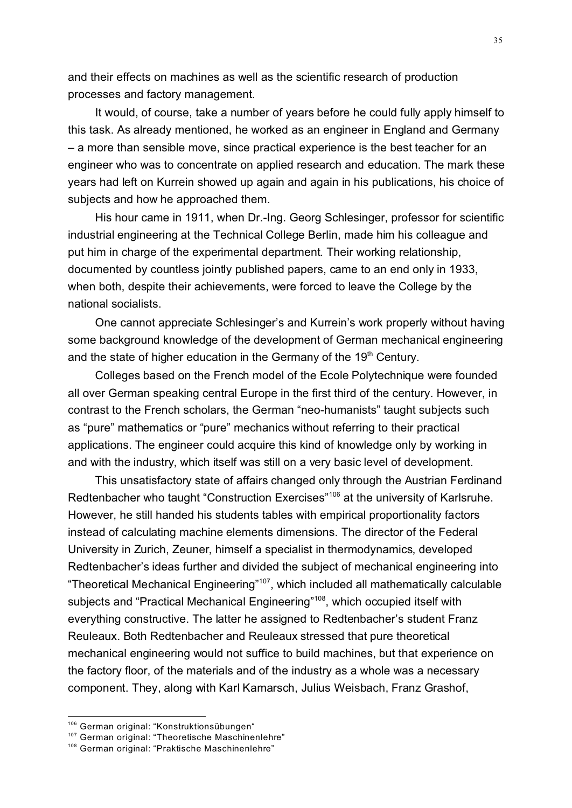and their effects on machines as well as the scientific research of production processes and factory management.

It would, of course, take a number of years before he could fully apply himself to this task. As already mentioned, he worked as an engineer in England and Germany – a more than sensible move, since practical experience is the best teacher for an engineer who was to concentrate on applied research and education. The mark these years had left on Kurrein showed up again and again in his publications, his choice of subjects and how he approached them.

His hour came in 1911, when Dr.-Ing. Georg Schlesinger, professor for scientific industrial engineering at the Technical College Berlin, made him his colleague and put him in charge of the experimental department. Their working relationship, documented by countless jointly published papers, came to an end only in 1933, when both, despite their achievements, were forced to leave the College by the national socialists.

One cannot appreciate Schlesinger's and Kurrein's work properly without having some background knowledge of the development of German mechanical engineering and the state of higher education in the Germany of the 19<sup>th</sup> Century.

Colleges based on the French model of the Ecole Polytechnique were founded all over German speaking central Europe in the first third of the century. However, in contrast to the French scholars, the German "neo-humanists" taught subjects such as "pure" mathematics or "pure" mechanics without referring to their practical applications. The engineer could acquire this kind of knowledge only by working in and with the industry, which itself was still on a very basic level of development.

This unsatisfactory state of affairs changed only through the Austrian Ferdinand Redtenbacher who taught "Construction Exercises"<sup>106</sup> at the university of Karlsruhe. However, he still handed his students tables with empirical proportionality factors instead of calculating machine elements dimensions. The director of the Federal University in Zurich, Zeuner, himself a specialist in thermodynamics, developed Redtenbacher's ideas further and divided the subject of mechanical engineering into "Theoretical Mechanical Engineering"<sup>107</sup>, which included all mathematically calculable subjects and "Practical Mechanical Engineering"<sup>108</sup>, which occupied itself with everything constructive. The latter he assigned to Redtenbacher's student Franz Reuleaux. Both Redtenbacher and Reuleaux stressed that pure theoretical mechanical engineering would not suffice to build machines, but that experience on the factory floor, of the materials and of the industry as a whole was a necessary component. They, along with Karl Kamarsch, Julius Weisbach, Franz Grashof,

<sup>106</sup> German original: "Konstruktionsübungen"

<sup>&</sup>lt;sup>107</sup> German original: "Theoretische Maschinenlehre"

<sup>&</sup>lt;sup>108</sup> German original: "Praktische Maschinenlehre"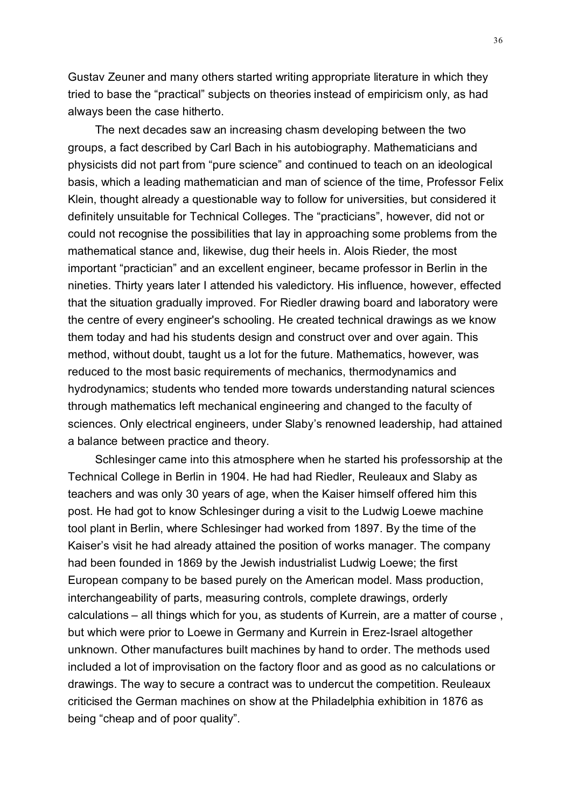Gustav Zeuner and many others started writing appropriate literature in which they tried to base the "practical" subjects on theories instead of empiricism only, as had always been the case hitherto.

The next decades saw an increasing chasm developing between the two groups, a fact described by Carl Bach in his autobiography. Mathematicians and physicists did not part from "pure science" and continued to teach on an ideological basis, which a leading mathematician and man of science of the time, Professor Felix Klein, thought already a questionable way to follow for universities, but considered it definitely unsuitable for Technical Colleges. The "practicians", however, did not or could not recognise the possibilities that lay in approaching some problems from the mathematical stance and, likewise, dug their heels in. Alois Rieder, the most important "practician" and an excellent engineer, became professor in Berlin in the nineties. Thirty years later I attended his valedictory. His influence, however, effected that the situation gradually improved. For Riedler drawing board and laboratory were the centre of every engineer's schooling. He created technical drawings as we know them today and had his students design and construct over and over again. This method, without doubt, taught us a lot for the future. Mathematics, however, was reduced to the most basic requirements of mechanics, thermodynamics and hydrodynamics; students who tended more towards understanding natural sciences through mathematics left mechanical engineering and changed to the faculty of sciences. Only electrical engineers, under Slaby's renowned leadership, had attained a balance between practice and theory.

Schlesinger came into this atmosphere when he started his professorship at the Technical College in Berlin in 1904. He had had Riedler, Reuleaux and Slaby as teachers and was only 30 years of age, when the Kaiser himself offered him this post. He had got to know Schlesinger during a visit to the Ludwig Loewe machine tool plant in Berlin, where Schlesinger had worked from 1897. By the time of the Kaiser's visit he had already attained the position of works manager. The company had been founded in 1869 by the Jewish industrialist Ludwig Loewe; the first European company to be based purely on the American model. Mass production, interchangeability of parts, measuring controls, complete drawings, orderly calculations – all things which for you, as students of Kurrein, are a matter of course , but which were prior to Loewe in Germany and Kurrein in Erez-Israel altogether unknown. Other manufactures built machines by hand to order. The methods used included a lot of improvisation on the factory floor and as good as no calculations or drawings. The way to secure a contract was to undercut the competition. Reuleaux criticised the German machines on show at the Philadelphia exhibition in 1876 as being "cheap and of poor quality".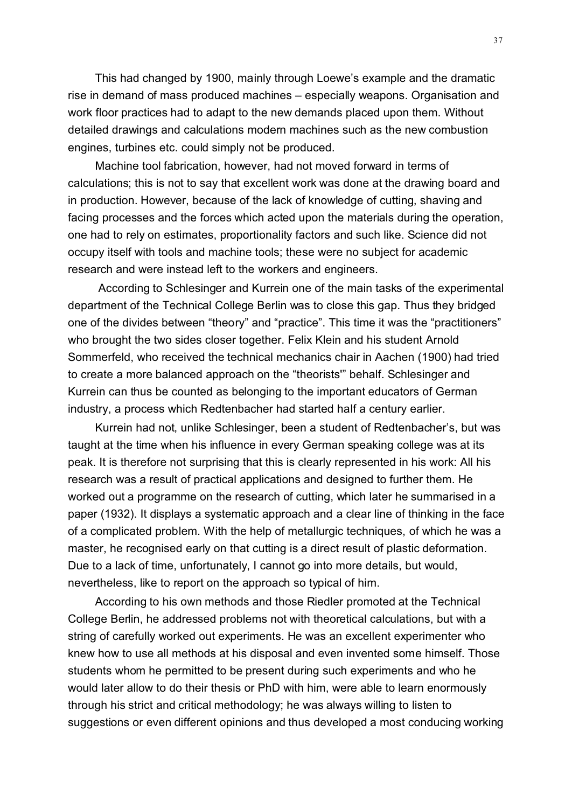This had changed by 1900, mainly through Loewe's example and the dramatic rise in demand of mass produced machines – especially weapons. Organisation and work floor practices had to adapt to the new demands placed upon them. Without detailed drawings and calculations modern machines such as the new combustion engines, turbines etc. could simply not be produced.

Machine tool fabrication, however, had not moved forward in terms of calculations; this is not to say that excellent work was done at the drawing board and in production. However, because of the lack of knowledge of cutting, shaving and facing processes and the forces which acted upon the materials during the operation, one had to rely on estimates, proportionality factors and such like. Science did not occupy itself with tools and machine tools; these were no subject for academic research and were instead left to the workers and engineers.

 According to Schlesinger and Kurrein one of the main tasks of the experimental department of the Technical College Berlin was to close this gap. Thus they bridged one of the divides between "theory" and "practice". This time it was the "practitioners" who brought the two sides closer together. Felix Klein and his student Arnold Sommerfeld, who received the technical mechanics chair in Aachen (1900) had tried to create a more balanced approach on the "theorists'" behalf. Schlesinger and Kurrein can thus be counted as belonging to the important educators of German industry, a process which Redtenbacher had started half a century earlier.

Kurrein had not, unlike Schlesinger, been a student of Redtenbacher's, but was taught at the time when his influence in every German speaking college was at its peak. It is therefore not surprising that this is clearly represented in his work: All his research was a result of practical applications and designed to further them. He worked out a programme on the research of cutting, which later he summarised in a paper (1932). It displays a systematic approach and a clear line of thinking in the face of a complicated problem. With the help of metallurgic techniques, of which he was a master, he recognised early on that cutting is a direct result of plastic deformation. Due to a lack of time, unfortunately, I cannot go into more details, but would, nevertheless, like to report on the approach so typical of him.

According to his own methods and those Riedler promoted at the Technical College Berlin, he addressed problems not with theoretical calculations, but with a string of carefully worked out experiments. He was an excellent experimenter who knew how to use all methods at his disposal and even invented some himself. Those students whom he permitted to be present during such experiments and who he would later allow to do their thesis or PhD with him, were able to learn enormously through his strict and critical methodology; he was always willing to listen to suggestions or even different opinions and thus developed a most conducing working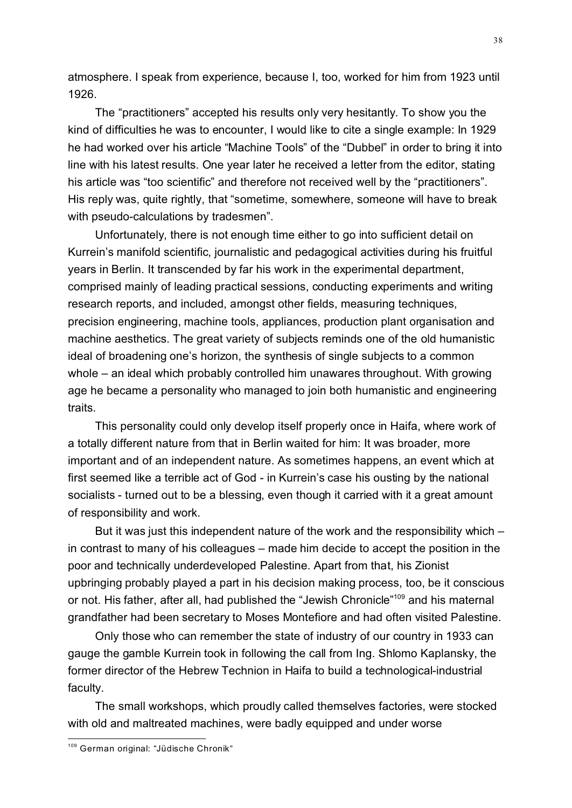atmosphere. I speak from experience, because I, too, worked for him from 1923 until 1926.

The "practitioners" accepted his results only very hesitantly. To show you the kind of difficulties he was to encounter, I would like to cite a single example: In 1929 he had worked over his article "Machine Tools" of the "Dubbel" in order to bring it into line with his latest results. One year later he received a letter from the editor, stating his article was "too scientific" and therefore not received well by the "practitioners". His reply was, quite rightly, that "sometime, somewhere, someone will have to break with pseudo-calculations by tradesmen".

Unfortunately, there is not enough time either to go into sufficient detail on Kurrein's manifold scientific, journalistic and pedagogical activities during his fruitful years in Berlin. It transcended by far his work in the experimental department, comprised mainly of leading practical sessions, conducting experiments and writing research reports, and included, amongst other fields, measuring techniques, precision engineering, machine tools, appliances, production plant organisation and machine aesthetics. The great variety of subjects reminds one of the old humanistic ideal of broadening one's horizon, the synthesis of single subjects to a common whole – an ideal which probably controlled him unawares throughout. With growing age he became a personality who managed to join both humanistic and engineering traits.

This personality could only develop itself properly once in Haifa, where work of a totally different nature from that in Berlin waited for him: It was broader, more important and of an independent nature. As sometimes happens, an event which at first seemed like a terrible act of God - in Kurrein's case his ousting by the national socialists - turned out to be a blessing, even though it carried with it a great amount of responsibility and work.

But it was just this independent nature of the work and the responsibility which – in contrast to many of his colleagues – made him decide to accept the position in the poor and technically underdeveloped Palestine. Apart from that, his Zionist upbringing probably played a part in his decision making process, too, be it conscious or not. His father, after all, had published the "Jewish Chronicle"<sup>109</sup> and his maternal grandfather had been secretary to Moses Montefiore and had often visited Palestine.

Only those who can remember the state of industry of our country in 1933 can gauge the gamble Kurrein took in following the call from Ing. Shlomo Kaplansky, the former director of the Hebrew Technion in Haifa to build a technological-industrial faculty.

The small workshops, which proudly called themselves factories, were stocked with old and maltreated machines, were badly equipped and under worse

<sup>&</sup>lt;sup>109</sup> German original: "Jüdische Chronik"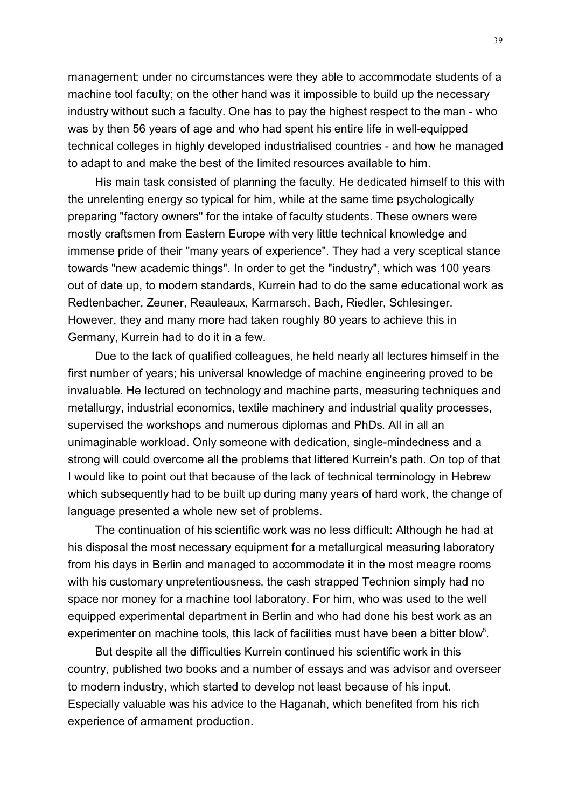management; under no circumstances were they able to accommodate students of a machine tool faculty; on the other hand was it impossible to build up the necessary industry without such a faculty. One has to pay the highest respect to the man - who was by then 56 years of age and who had spent his entire life in well-equipped technical colleges in highly developed industrialised countries - and how he managed to adapt to and make the best of the limited resources available to him.

His main task consisted of planning the faculty. He dedicated himself to this with the unrelenting energy so typical for him, while at the same time psychologically preparing "factory owners" for the intake of faculty students. These owners were mostly craftsmen from Eastern Europe with very little technical knowledge and immense pride of their "many years of experience". They had a very sceptical stance towards "new academic things". In order to get the "industry", which was 100 years out of date up, to modern standards, Kurrein had to do the same educational work as Redtenbacher, Zeuner, Reauleaux, Karmarsch, Bach, Riedler, Schlesinger. However, they and many more had taken roughly 80 years to achieve this in Germany, Kurrein had to do it in a few.

Due to the lack of qualified colleagues, he held nearly all lectures himself in the first number of years; his universal knowledge of machine engineering proved to be invaluable. He lectured on technology and machine parts, measuring techniques and metallurgy, industrial economics, textile machinery and industrial quality processes, supervised the workshops and numerous diplomas and PhDs. All in all an unimaginable workload. Only someone with dedication, single-mindedness and a strong will could overcome all the problems that littered Kurrein's path. On top of that I would like to point out that because of the lack of technical terminology in Hebrew which subsequently had to be built up during many years of hard work, the change of language presented a whole new set of problems.

The continuation of his scientific work was no less difficult: Although he had at his disposal the most necessary equipment for a metallurgical measuring laboratory from his days in Berlin and managed to accommodate it in the most meagre rooms with his customary unpretentiousness, the cash strapped Technion simply had no space nor money for a machine tool laboratory. For him, who was used to the well equipped experimental department in Berlin and who had done his best work as an experimenter on machine tools, this lack of facilities must have been a bitter blow<sup>8</sup>.

But despite all the difficulties Kurrein continued his scientific work in this country, published two books and a number of essays and was advisor and overseer to modern industry, which started to develop not least because of his input. Especially valuable was his advice to the Haganah, which benefited from his rich experience of armament production.